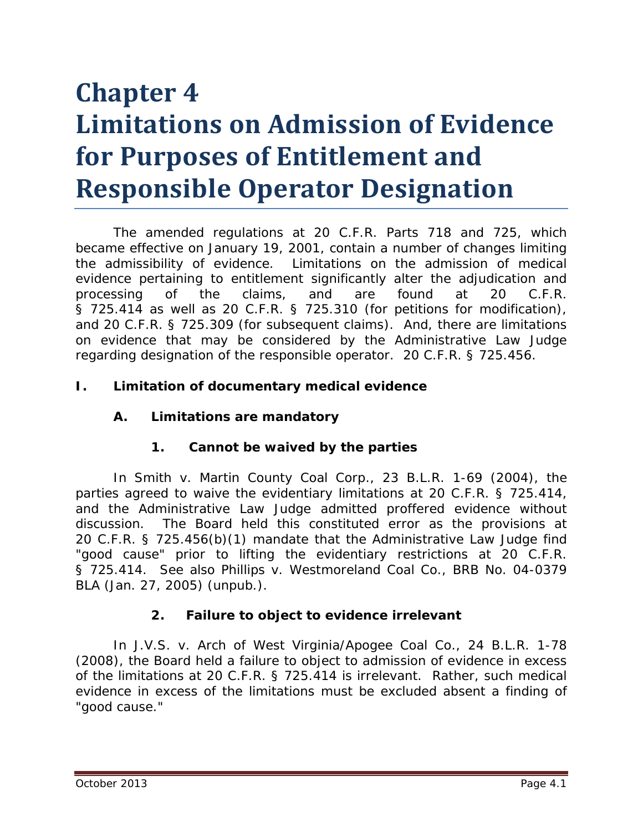# **Chapter 4 Limitations on Admission of Evidence for Purposes of Entitlement and Responsible Operator Designation**

The amended regulations at 20 C.F.R. Parts 718 and 725, which became effective on January 19, 2001, contain a number of changes limiting the admissibility of evidence. Limitations on the admission of medical evidence pertaining to entitlement significantly alter the adjudication and processing of the claims, and are found at 20 C.F.R. § 725.414 as well as 20 C.F.R. § 725.310 (for petitions for modification), and 20 C.F.R. § 725.309 (for subsequent claims). And, there are limitations on evidence that may be considered by the Administrative Law Judge regarding designation of the responsible operator. 20 C.F.R. § 725.456.

#### **I. Limitation of documentary medical evidence**

## **A. Limitations are mandatory**

#### **1. Cannot be waived by the parties**

In *Smith v. Martin County Coal Corp.*, 23 B.L.R. 1-69 (2004), the parties agreed to waive the evidentiary limitations at 20 C.F.R. § 725.414, and the Administrative Law Judge admitted proffered evidence without discussion. The Board held this constituted error as the provisions at 20 C.F.R. § 725.456(b)(1) mandate that the Administrative Law Judge find "good cause" prior to lifting the evidentiary restrictions at 20 C.F.R. § 725.414. *See also Phillips v. Westmoreland Coal Co.*, BRB No. 04-0379 BLA (Jan. 27, 2005) (unpub.).

## **2. Failure to object to evidence irrelevant**

In *J.V.S. v. Arch of West Virginia/Apogee Coal Co.*, 24 B.L.R. 1-78 (2008), the Board held a failure to object to admission of evidence in excess of the limitations at 20 C.F.R. § 725.414 is irrelevant. Rather, such medical evidence in excess of the limitations must be excluded absent a finding of "good cause."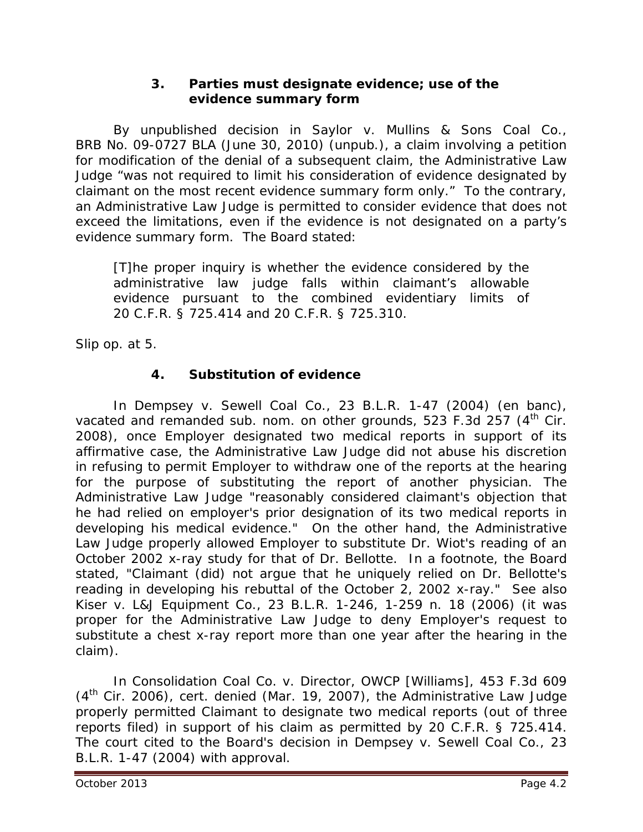## **3. Parties must designate evidence; use of the evidence summary form**

By unpublished decision in *Saylor v. Mullins & Sons Coal Co.*, BRB No. 09-0727 BLA (June 30, 2010) (unpub.), a claim involving a petition for modification of the denial of a subsequent claim, the Administrative Law Judge "was not required to limit his consideration of evidence designated by claimant on the most recent evidence summary form only." To the contrary, an Administrative Law Judge is permitted to consider evidence that does not exceed the limitations, even if the evidence is not designated on a party's evidence summary form. The Board stated:

[T]he proper inquiry is whether the evidence considered by the administrative law judge falls within claimant's allowable evidence pursuant to the combined evidentiary limits of 20 C.F.R. § 725.414 and 20 C.F.R. § 725.310.

*Slip op.* at 5.

# **4. Substitution of evidence**

In *Dempsey v. Sewell Coal Co.*, 23 B.L.R. 1-47 (2004) (en banc), vacated and remanded sub. nom. on other grounds, 523 F.3d 257 (4<sup>th</sup> Cir. 2008), once Employer designated two medical reports in support of its affirmative case, the Administrative Law Judge did not abuse his discretion in refusing to permit Employer to withdraw one of the reports at the hearing for the purpose of substituting the report of another physician. The Administrative Law Judge "reasonably considered claimant's objection that he had relied on employer's prior designation of its two medical reports in developing his medical evidence." On the other hand, the Administrative Law Judge properly allowed Employer to substitute Dr. Wiot's reading of an October 2002 x-ray study for that of Dr. Bellotte. In a footnote, the Board stated, "Claimant (did) not argue that he uniquely relied on Dr. Bellotte's reading in developing his rebuttal of the October 2, 2002 x-ray." *See also Kiser v. L&J Equipment Co.*, 23 B.L.R. 1-246, 1-259 n. 18 (2006) (it was proper for the Administrative Law Judge to deny Employer's request to substitute a chest x-ray report more than one year after the hearing in the claim).

In *Consolidation Coal Co. v. Director, OWCP [Williams]*, 453 F.3d 609 (4th Cir. 2006), *cert. denied* (Mar. 19, 2007), the Administrative Law Judge properly permitted Claimant to designate two medical reports (out of three reports filed) in support of his claim as permitted by 20 C.F.R. § 725.414. The court cited to the Board's decision in *Dempsey v. Sewell Coal Co.*, 23 B.L.R. 1-47 (2004) with approval.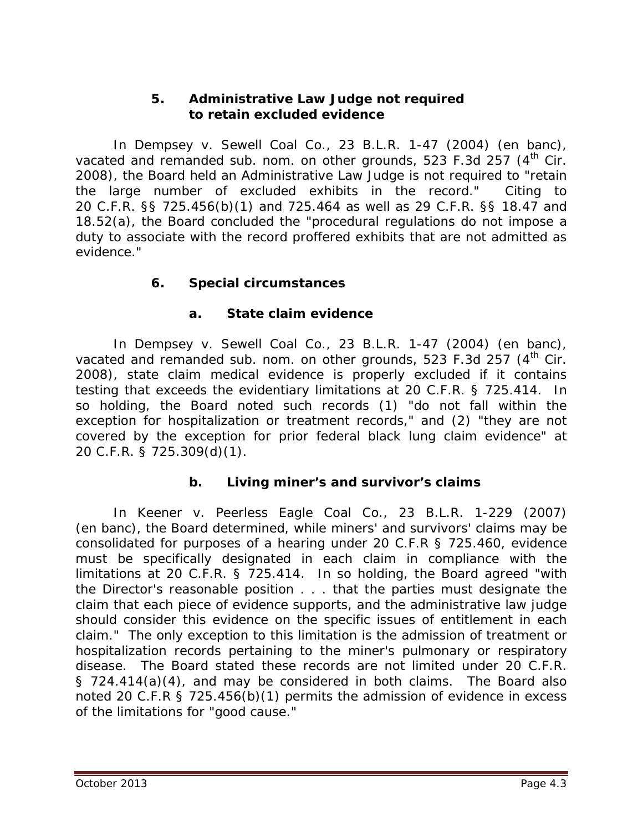## **5. Administrative Law Judge not required to retain excluded evidence**

In *Dempsey v. Sewell Coal Co.*, 23 B.L.R. 1-47 (2004) (en banc), vacated and remanded sub. nom. on other grounds, 523 F.3d 257 (4<sup>th</sup> Cir. 2008), the Board held an Administrative Law Judge is not required to "retain the large number of excluded exhibits in the record." Citing to 20 C.F.R. §§ 725.456(b)(1) and 725.464 as well as 29 C.F.R. §§ 18.47 and 18.52(a), the Board concluded the "procedural regulations do not impose a duty to associate with the record proffered exhibits that are not admitted as evidence."

# **6. Special circumstances**

## **a. State claim evidence**

In *Dempsey v. Sewell Coal Co.*, 23 B.L.R. 1-47 (2004) (en banc), vacated and remanded sub. nom. on other grounds, 523 F.3d 257 (4<sup>th</sup> Cir. 2008), state claim medical evidence is properly excluded if it contains testing that exceeds the evidentiary limitations at 20 C.F.R. § 725.414. In so holding, the Board noted such records (1) "do not fall within the exception for hospitalization or treatment records," and (2) "they are not covered by the exception for prior federal black lung claim evidence" at 20 C.F.R. § 725.309(d)(1).

## **b. Living miner's and survivor's claims**

In *Keener v. Peerless Eagle Coal Co.*, 23 B.L.R. 1-229 (2007) (en banc), the Board determined, while miners' and survivors' claims may be consolidated for purposes of a hearing under 20 C.F.R § 725.460, evidence must be specifically designated in each claim in compliance with the limitations at 20 C.F.R. § 725.414. In so holding, the Board agreed "with the Director's reasonable position . . . that the parties must designate the claim that each piece of evidence supports, and the administrative law judge should consider this evidence on the specific issues of entitlement in each claim." The only exception to this limitation is the admission of treatment or hospitalization records pertaining to the miner's pulmonary or respiratory disease. The Board stated these records are not limited under 20 C.F.R. § 724.414(a)(4), and may be considered in both claims. The Board also noted 20 C.F.R § 725.456(b)(1) permits the admission of evidence in excess of the limitations for "good cause."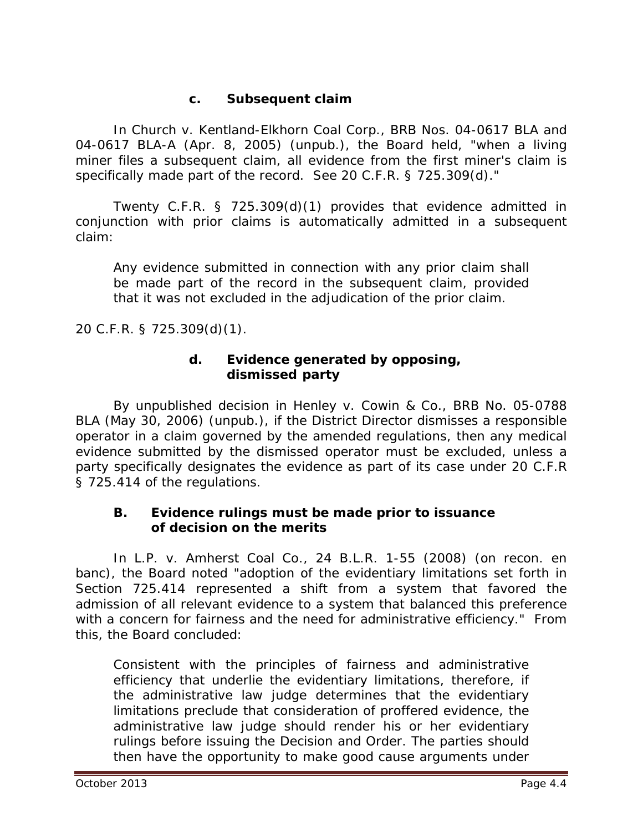## **c. Subsequent claim**

In *Church v. Kentland-Elkhorn Coal Corp.*, BRB Nos. 04-0617 BLA and 04-0617 BLA-A (Apr. 8, 2005) (unpub.), the Board held, "when a living miner files a subsequent claim, all evidence from the first miner's claim is specifically made part of the record. *See* 20 C.F.R. § 725.309(d)."

Twenty C.F.R. § 725.309(d)(1) provides that evidence admitted in conjunction with prior claims is automatically admitted in a subsequent claim:

Any evidence submitted in connection with any prior claim shall be made part of the record in the subsequent claim, provided that it was not excluded in the adjudication of the prior claim.

20 C.F.R. § 725.309(d)(1).

## **d. Evidence generated by opposing, dismissed party**

By unpublished decision in *Henley v. Cowin & Co.*, BRB No. 05-0788 BLA (May 30, 2006) (unpub.), if the District Director dismisses a responsible operator in a claim governed by the amended regulations, then any medical evidence submitted by the dismissed operator must be excluded, unless a party specifically designates the evidence as part of its case under 20 C.F.R § 725.414 of the regulations.

## **B. Evidence rulings must be made** *prior to* **issuance of decision on the merits**

 In *L.P. v. Amherst Coal Co.*, 24 B.L.R. 1-55 (2008) (on recon. en banc), the Board noted "adoption of the evidentiary limitations set forth in Section 725.414 represented a shift from a system that favored the admission of all relevant evidence to a system that balanced this preference with a concern for fairness and the need for administrative efficiency." From this, the Board concluded:

Consistent with the principles of fairness and administrative efficiency that underlie the evidentiary limitations, therefore, if the administrative law judge determines that the evidentiary limitations preclude that consideration of proffered evidence, the administrative law judge should render his or her evidentiary rulings before issuing the Decision and Order. The parties should then have the opportunity to make good cause arguments under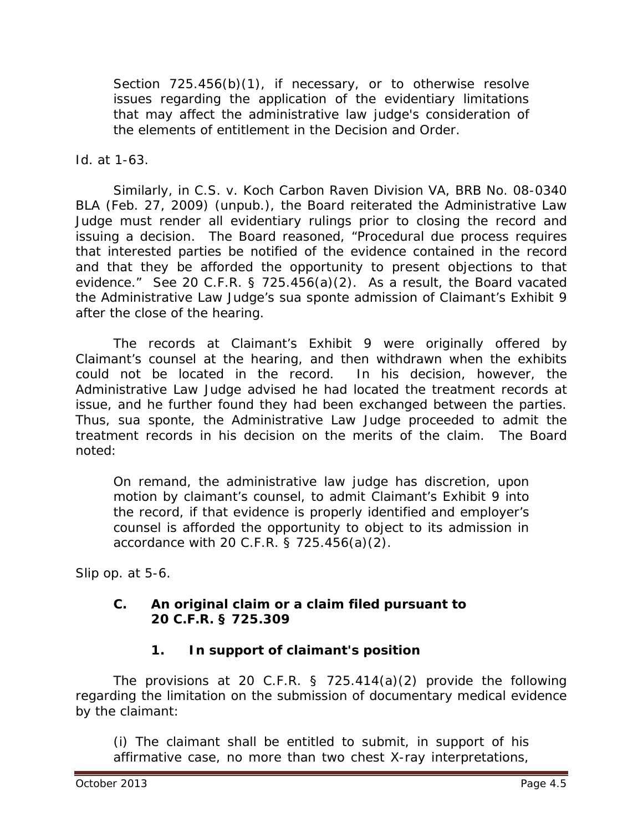Section 725.456(b)(1), if necessary, or to otherwise resolve issues regarding the application of the evidentiary limitations that may affect the administrative law judge's consideration of the elements of entitlement in the Decision and Order.

*Id.* at 1-63.

Similarly, in *C.S. v. Koch Carbon Raven Division VA*, BRB No. 08-0340 BLA (Feb. 27, 2009) (unpub.), the Board reiterated the Administrative Law Judge must render all evidentiary rulings prior to closing the record and issuing a decision. The Board reasoned, "Procedural due process requires that interested parties be notified of the evidence contained in the record and that they be afforded the opportunity to present objections to that evidence." *See* 20 C.F.R. § 725.456(a)(2). As a result, the Board vacated the Administrative Law Judge's *sua sponte* admission of Claimant's Exhibit 9 after the close of the hearing.

The records at Claimant's Exhibit 9 were originally offered by Claimant's counsel at the hearing, and then withdrawn when the exhibits could not be located in the record. In his decision, however, the Administrative Law Judge advised he had located the treatment records at issue, and he further found they had been exchanged between the parties. Thus, *sua sponte*, the Administrative Law Judge proceeded to admit the treatment records in his decision on the merits of the claim. The Board noted:

On remand, the administrative law judge has discretion, upon motion by claimant's counsel, to admit Claimant's Exhibit 9 into the record, if that evidence is properly identified and employer's counsel is afforded the opportunity to object to its admission in accordance with 20 C.F.R. § 725.456(a)(2).

*Slip op.* at 5-6.

# **C. An original claim or a claim filed pursuant to 20 C.F.R. § 725.309**

# **1. In support of claimant's position**

The provisions at 20 C.F.R. § 725.414(a)(2) provide the following regarding the limitation on the submission of documentary medical evidence by the claimant:

(i) The claimant shall be entitled to submit, in support of his affirmative case, no more than two chest X-ray interpretations,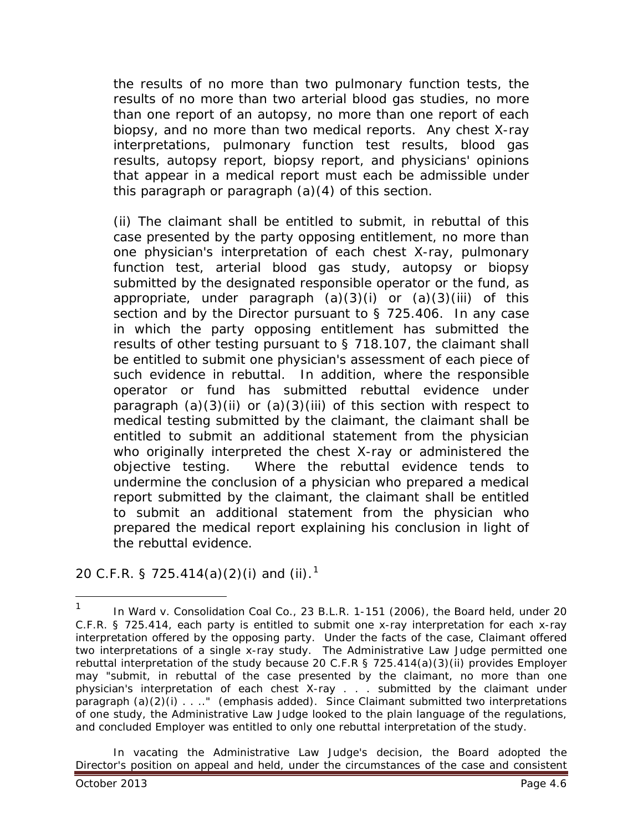the results of no more than two pulmonary function tests, the results of no more than two arterial blood gas studies, no more than one report of an autopsy, no more than one report of each biopsy, and no more than two medical reports. Any chest X-ray interpretations, pulmonary function test results, blood gas results, autopsy report, biopsy report, and physicians' opinions that appear in a medical report must each be admissible under this paragraph or paragraph (a)(4) of this section.

(ii) The claimant shall be entitled to submit, in rebuttal of this case presented by the party opposing entitlement, no more than one physician's interpretation of each chest X-ray, pulmonary function test, arterial blood gas study, autopsy or biopsy submitted by the designated responsible operator or the fund, as appropriate, under paragraph  $(a)(3)(i)$  or  $(a)(3)(iii)$  of this section and by the Director pursuant to § 725.406. In any case in which the party opposing entitlement has submitted the results of other testing pursuant to § 718.107, the claimant shall be entitled to submit one physician's assessment of each piece of such evidence in rebuttal. In addition, where the responsible operator or fund has submitted rebuttal evidence under paragraph  $(a)(3)(ii)$  or  $(a)(3)(iii)$  of this section with respect to medical testing submitted by the claimant, the claimant shall be entitled to submit an additional statement from the physician who originally interpreted the chest X-ray or administered the objective testing. Where the rebuttal evidence tends to undermine the conclusion of a physician who prepared a medical report submitted by the claimant, the claimant shall be entitled to submit an additional statement from the physician who prepared the medical report explaining his conclusion in light of the rebuttal evidence.

20 C.F.R. § 725.4[1](#page-5-0)4(a)(2)(i) and (ii).<sup>1</sup>

In vacating the Administrative Law Judge's decision, the Board adopted the Director's position on appeal and held, under the circumstances of the case and consistent

 $\overline{a}$ 

<span id="page-5-0"></span><sup>1</sup> In *Ward v. Consolidation Coal Co.*, 23 B.L.R. 1-151 (2006), the Board held, under 20 C.F.R. § 725.414, each party is entitled to submit one x-ray *interpretation* for each x-ray *interpretation* offered by the opposing party. Under the facts of the case, Claimant offered two *interpretations* of a single x-ray *study*. The Administrative Law Judge permitted one *rebuttal interpretation* of the study because 20 C.F.R § 725.414(a)(3)(ii) provides Employer may "submit, in rebuttal of the case presented by the claimant, no more than one physician's *interpretation* of each chest X-ray . . . submitted by the claimant under paragraph (a)(2)(i) . . .." (emphasis added). Since Claimant submitted two interpretations of one study, the Administrative Law Judge looked to the plain language of the regulations, and concluded Employer was entitled to only one rebuttal interpretation of the study.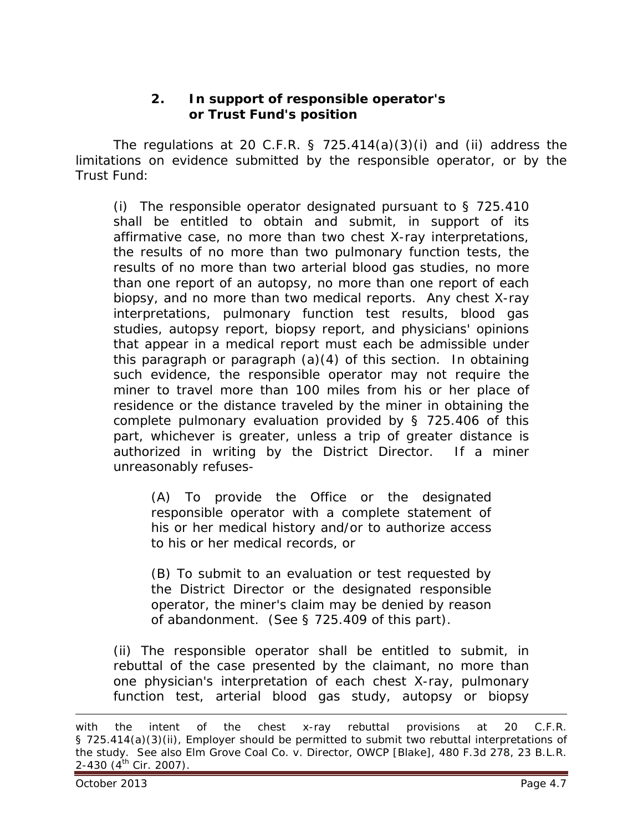## **2. In support of responsible operator's or Trust Fund's position**

The regulations at 20 C.F.R.  $\S$  725.414(a)(3)(i) and (ii) address the limitations on evidence submitted by the responsible operator, or by the Trust Fund:

(i) The responsible operator designated pursuant to  $\S$  725.410 shall be entitled to obtain and submit, in support of its affirmative case, no more than two chest X-ray interpretations, the results of no more than two pulmonary function tests, the results of no more than two arterial blood gas studies, no more than one report of an autopsy, no more than one report of each biopsy, and no more than two medical reports. Any chest X-ray interpretations, pulmonary function test results, blood gas studies, autopsy report, biopsy report, and physicians' opinions that appear in a medical report must each be admissible under this paragraph or paragraph (a)(4) of this section. In obtaining such evidence, the responsible operator may not require the miner to travel more than 100 miles from his or her place of residence or the distance traveled by the miner in obtaining the complete pulmonary evaluation provided by § 725.406 of this part, whichever is greater, unless a trip of greater distance is authorized in writing by the District Director. If a miner unreasonably refuses-

(A) To provide the Office or the designated responsible operator with a complete statement of his or her medical history and/or to authorize access to his or her medical records, or

(B) To submit to an evaluation or test requested by the District Director or the designated responsible operator, the miner's claim may be denied by reason of abandonment. (See § 725.409 of this part).

(ii) The responsible operator shall be entitled to submit, in rebuttal of the case presented by the claimant, no more than one physician's interpretation of each chest X-ray, pulmonary function test, arterial blood gas study, autopsy or biopsy

 $\overline{a}$ 

with the *intent* of the chest x-ray rebuttal provisions at 20 C.F.R. § 725.414(a)(3)(ii), Employer should be permitted to submit two rebuttal interpretations of the study. *See also Elm Grove Coal Co. v. Director, OWCP [Blake]*, 480 F.3d 278, 23 B.L.R. 2-430 (4<sup>th</sup> Cir. 2007).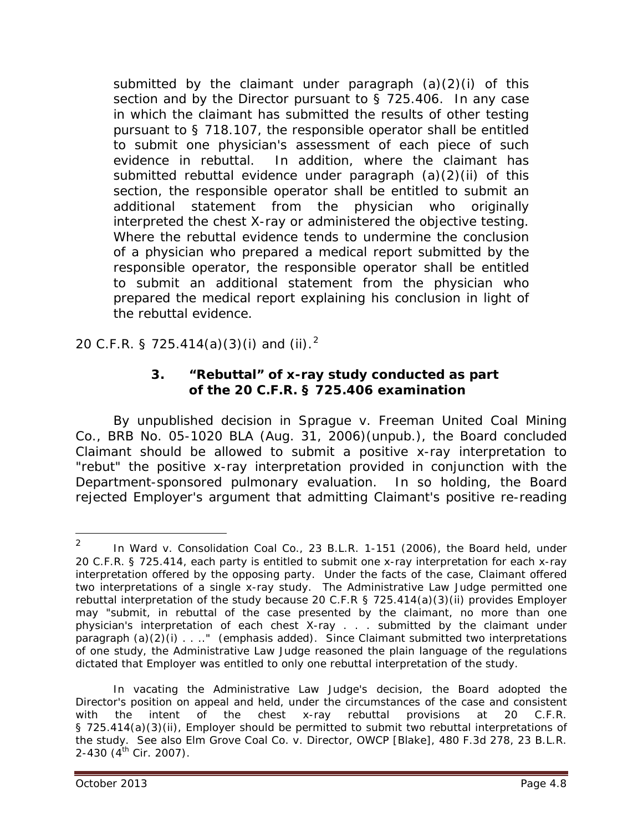submitted by the claimant under paragraph  $(a)(2)(i)$  of this section and by the Director pursuant to § 725.406. In any case in which the claimant has submitted the results of other testing pursuant to § 718.107, the responsible operator shall be entitled to submit one physician's assessment of each piece of such evidence in rebuttal. In addition, where the claimant has submitted rebuttal evidence under paragraph (a)(2)(ii) of this section, the responsible operator shall be entitled to submit an additional statement from the physician who originally interpreted the chest X-ray or administered the objective testing. Where the rebuttal evidence tends to undermine the conclusion of a physician who prepared a medical report submitted by the responsible operator, the responsible operator shall be entitled to submit an additional statement from the physician who prepared the medical report explaining his conclusion in light of the rebuttal evidence.

[2](#page-7-0)0 C.F.R. § 725.414(a)(3)(i) and (ii).<sup>2</sup>

## **3. "Rebuttal" of x-ray study conducted as part of the 20 C.F.R. § 725.406 examination**

By unpublished decision in *Sprague v. Freeman United Coal Mining Co.*, BRB No. 05-1020 BLA (Aug. 31, 2006)(unpub.), the Board concluded Claimant should be allowed to submit a positive x-ray interpretation to "rebut" the positive x-ray interpretation provided in conjunction with the Department-sponsored pulmonary evaluation. In so holding, the Board rejected Employer's argument that admitting Claimant's positive re-reading

<span id="page-7-0"></span><sup>2</sup> In *Ward v. Consolidation Coal Co.*, 23 B.L.R. 1-151 (2006), the Board held, under 20 C.F.R. § 725.414, each party is entitled to submit one x-ray *interpretation* for each x-ray *interpretation* offered by the opposing party. Under the facts of the case, Claimant offered two *interpretations* of a single x-ray *study*. The Administrative Law Judge permitted one *rebuttal interpretation* of the study because 20 C.F.R § 725.414(a)(3)(ii) provides Employer may "submit, in rebuttal of the case presented by the claimant, no more than one physician's *interpretation* of each chest X-ray . . . submitted by the claimant under paragraph (a)(2)(i) . . . . " (emphasis added). Since Claimant submitted two interpretations of one study, the Administrative Law Judge reasoned the plain language of the regulations dictated that Employer was entitled to only one rebuttal interpretation of the study.  $\overline{2}$ 

In vacating the Administrative Law Judge's decision, the Board adopted the Director's position on appeal and held, under the circumstances of the case and consistent with the *intent* of the chest x-ray rebuttal provisions at 20 C.F.R. § 725.414(a)(3)(ii), Employer should be permitted to submit two rebuttal interpretations of the study. *See also Elm Grove Coal Co. v. Director, OWCP [Blake]*, 480 F.3d 278, 23 B.L.R. 2-430 (4<sup>th</sup> Cir. 2007).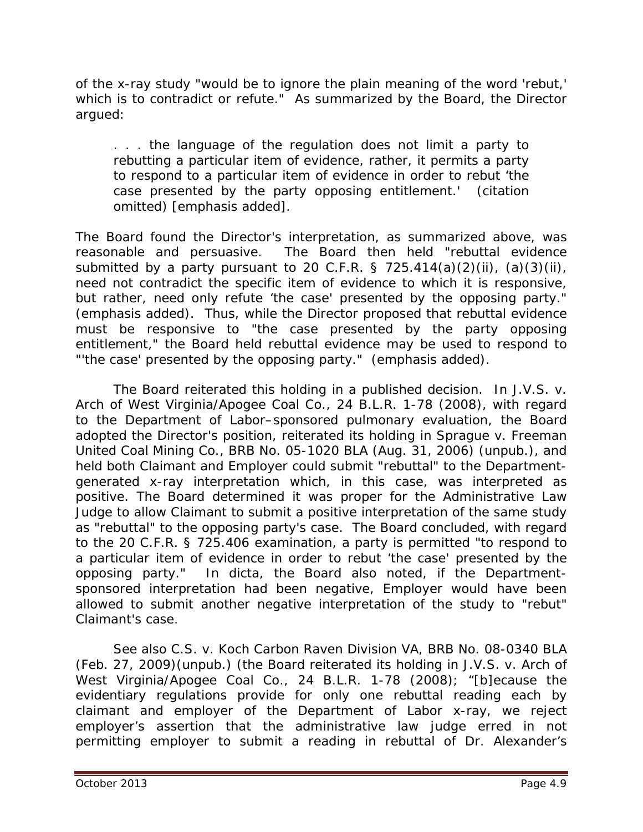of the x-ray study "would be to ignore the plain meaning of the word 'rebut,' which is to contradict or refute." As summarized by the Board, the Director argued:

. . . the language of the regulation does not limit a party to rebutting a particular item of evidence, rather, it permits a party to respond to a particular item of evidence in order to rebut '*the case presented by the party opposing entitlement.*' (citation omitted) [emphasis added].

The Board found the Director's interpretation, as summarized above, was reasonable and persuasive. The Board then held "rebuttal evidence submitted by a party pursuant to 20 C.F.R. § 725.414(a)(2)(ii), (a)(3)(ii), need not contradict the specific item of evidence to which it is responsive, but rather, need only refute 'the case' presented by the *opposing party*." (emphasis added). Thus, while the Director proposed that rebuttal evidence must be responsive to "the case presented by the *party opposing entitlement,*" the Board held rebuttal evidence may be used to respond to "'the case' presented by the *opposing party*." (emphasis added).

The Board reiterated this holding in a published decision. In *J.V.S. v. Arch of West Virginia/Apogee Coal Co.*, 24 B.L.R. 1-78 (2008), with regard to the Department of Labor–sponsored pulmonary evaluation, the Board adopted the Director's position, reiterated its holding in *Sprague v. Freeman United Coal Mining Co.*, BRB No. 05-1020 BLA (Aug. 31, 2006) (unpub.), and held both Claimant and Employer could submit "rebuttal" to the Departmentgenerated x-ray interpretation which, in this case, was interpreted as positive. The Board determined it was proper for the Administrative Law Judge to allow Claimant to submit a positive interpretation of the same study as "rebuttal" to the opposing party's case. The Board concluded, with regard to the 20 C.F.R. § 725.406 examination, a party is permitted "to respond to a particular item of evidence in order to rebut 'the case' presented by the opposing party." In *dicta*, the Board also noted, if the Departmentsponsored interpretation had been negative, Employer would have been allowed to submit another negative interpretation of the study to "rebut" Claimant's case.

*See also C.S. v. Koch Carbon Raven Division VA*, BRB No. 08-0340 BLA (Feb. 27, 2009)(unpub.) (the Board reiterated its holding in *J.V.S. v. Arch of West Virginia/Apogee Coal Co.*, 24 B.L.R. 1-78 (2008); "[b]ecause the evidentiary regulations provide for only one rebuttal reading each by claimant and employer of the Department of Labor x-ray, we reject employer's assertion that the administrative law judge erred in not permitting employer to submit a reading in rebuttal of Dr. Alexander's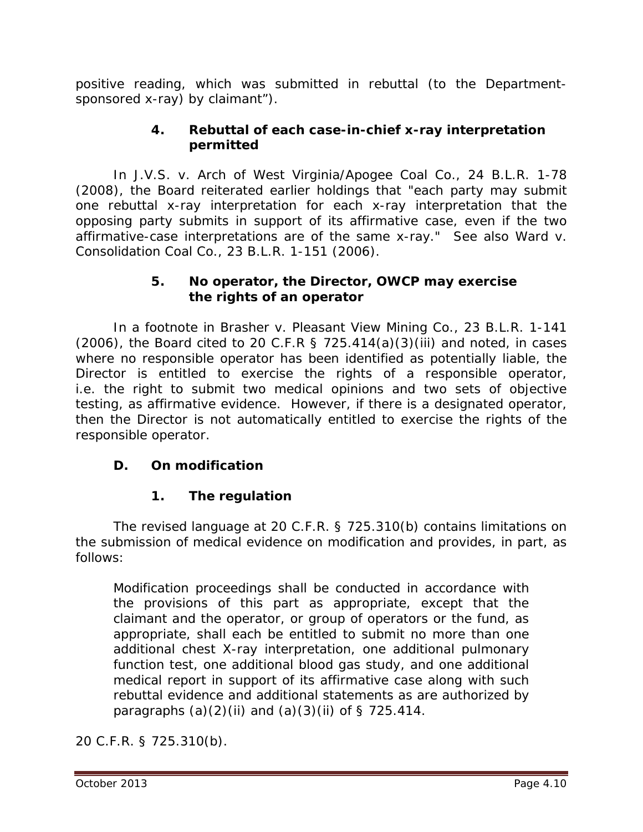positive reading, which was submitted in rebuttal (to the Departmentsponsored x-ray) by claimant").

# **4. Rebuttal of each case-in-chief x-ray interpretation permitted**

In *J.V.S. v. Arch of West Virginia/Apogee Coal Co.*, 24 B.L.R. 1-78 (2008), the Board reiterated earlier holdings that "each party may submit one rebuttal x-ray interpretation for each x-ray interpretation that the opposing party submits in support of its affirmative case, even if the two affirmative-case interpretations are of the same x-ray." *See also Ward v. Consolidation Coal Co.*, 23 B.L.R. 1-151 (2006).

## **5. No operator, the Director, OWCP may exercise the rights of an operator**

In a footnote in *Brasher v. Pleasant View Mining Co.*, 23 B.L.R. 1-141  $(2006)$ , the Board cited to 20 C.F.R § 725.414(a)(3)(iii) and noted, in cases where no responsible operator has been identified as potentially liable, the Director is entitled to exercise the rights of a responsible operator, *i.e.* the right to submit two medical opinions and two sets of objective testing, as affirmative evidence. However, if there is a designated operator, then the Director is not automatically entitled to exercise the rights of the responsible operator.

# **D. On modification**

# **1. The regulation**

The revised language at 20 C.F.R. § 725.310(b) contains limitations on the submission of medical evidence on modification and provides, in part, as follows:

Modification proceedings shall be conducted in accordance with the provisions of this part as appropriate, except that the claimant and the operator, or group of operators or the fund, as appropriate, shall each be entitled to submit no more than one additional chest X-ray interpretation, one additional pulmonary function test, one additional blood gas study, and one additional medical report in support of its affirmative case along with such rebuttal evidence and additional statements as are authorized by paragraphs  $(a)(2)(ii)$  and  $(a)(3)(ii)$  of § 725.414.

20 C.F.R. § 725.310(b).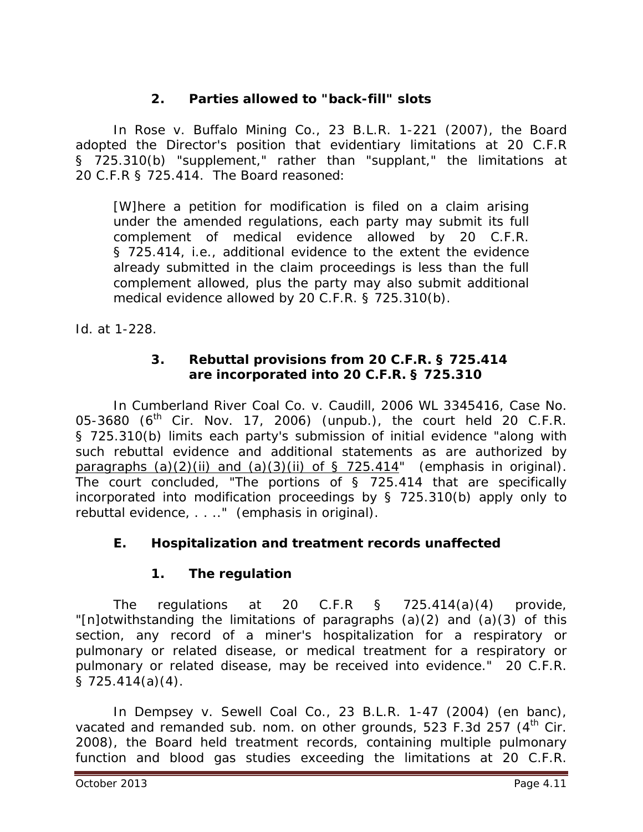# **2. Parties allowed to "back-fill" slots**

In *Rose v. Buffalo Mining Co.*, 23 B.L.R. 1-221 (2007), the Board adopted the Director's position that evidentiary limitations at 20 C.F.R § 725.310(b) "supplement," rather than "supplant," the limitations at 20 C.F.R § 725.414. The Board reasoned:

[W]here a petition for modification is filed on a claim arising under the amended regulations, each party may submit its full complement of medical evidence allowed by 20 C.F.R. § 725.414, *i.e.*, additional evidence to the extent the evidence already submitted in the claim proceedings is less than the full complement allowed, plus the party may also submit additional medical evidence allowed by 20 C.F.R. § 725.310(b).

*Id.* at 1-228*.*

## **3. Rebuttal provisions from 20 C.F.R. § 725.414 are incorporated into 20 C.F.R. § 725.310**

In *Cumberland River Coal Co. v. Caudill*, 2006 WL 3345416, Case No. 05-3680 ( $6^{th}$  Cir. Nov. 17, 2006) (unpub.), the court held 20 C.F.R. § 725.310(b) limits each party's submission of initial evidence "along with such rebuttal evidence and additional statements as are authorized by paragraphs  $(a)(2)(ii)$  and  $(a)(3)(ii)$  of § 725.414" (emphasis in original). The court concluded, "The portions of § 725.414 that are specifically incorporated into modification proceedings by § 725.310(b) apply only to *rebuttal* evidence, . . .." (emphasis in original).

# **E. Hospitalization and treatment records unaffected**

# **1. The regulation**

The regulations at 20 C.F.R § 725.414(a)(4) provide, "[n]otwithstanding the limitations of paragraphs (a)(2) and (a)(3) of this section, any record of a miner's hospitalization for a respiratory or pulmonary or related disease, or medical treatment for a respiratory or pulmonary or related disease, may be received into evidence." 20 C.F.R.  $\S$  725.414(a)(4).

In *Dempsey v. Sewell Coal Co.*, 23 B.L.R. 1-47 (2004) (en banc), vacated and remanded sub. nom. on other grounds, 523 F.3d 257 (4<sup>th</sup> Cir. 2008), the Board held treatment records, containing multiple pulmonary function and blood gas studies exceeding the limitations at 20 C.F.R.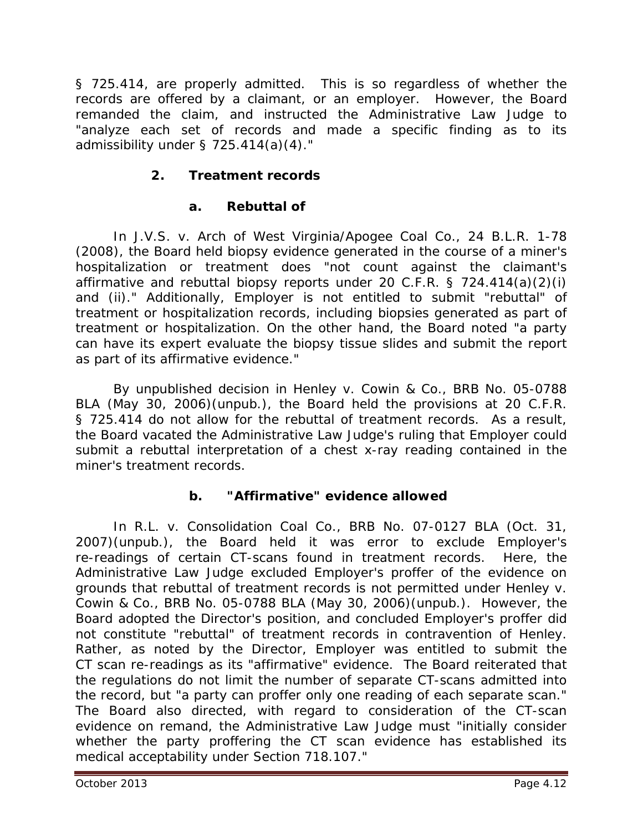§ 725.414, are properly admitted. This is so regardless of whether the records are offered by a claimant, or an employer. However, the Board remanded the claim, and instructed the Administrative Law Judge to "analyze each set of records and made a specific finding as to its admissibility under § 725.414(a)(4)."

# **2. Treatment records**

# **a. Rebuttal of**

 In *J.V.S. v. Arch of West Virginia/Apogee Coal Co.*, 24 B.L.R. 1-78 (2008), the Board held biopsy evidence generated in the course of a miner's hospitalization or treatment does "not count against the claimant's affirmative and rebuttal biopsy reports under 20 C.F.R. § 724.414(a)(2)(i) and (ii)." Additionally, Employer is not entitled to submit "rebuttal" of treatment or hospitalization records, including biopsies generated as part of treatment or hospitalization. On the other hand, the Board noted "a party can have its expert evaluate the biopsy tissue slides and submit the report as part of its affirmative evidence."

By unpublished decision in *Henley v. Cowin & Co.*, BRB No. 05-0788 BLA (May 30, 2006)(unpub.), the Board held the provisions at 20 C.F.R. § 725.414 do not allow for the rebuttal of treatment records. As a result, the Board vacated the Administrative Law Judge's ruling that Employer could submit a rebuttal interpretation of a chest x-ray reading contained in the miner's treatment records.

## **b. "Affirmative" evidence allowed**

In *R.L. v. Consolidation Coal Co.*, BRB No. 07-0127 BLA (Oct. 31, 2007)(unpub.), the Board held it was error to exclude Employer's re-readings of certain CT-scans found in treatment records. Here, the Administrative Law Judge excluded Employer's proffer of the evidence on grounds that rebuttal of treatment records is not permitted under *Henley v. Cowin & Co.*, BRB No. 05-0788 BLA (May 30, 2006)(unpub.). However, the Board adopted the Director's position, and concluded Employer's proffer did not constitute "rebuttal" of treatment records in contravention of *Henley*. Rather, as noted by the Director, Employer was entitled to submit the CT scan re-readings as its "affirmative" evidence. The Board reiterated that the regulations do not limit the number of separate CT-scans admitted into the record, but "a party can proffer only one reading of each separate scan." The Board also directed, with regard to consideration of the CT-scan evidence on remand, the Administrative Law Judge must "initially consider whether the party proffering the CT scan evidence has established its medical acceptability under Section 718.107."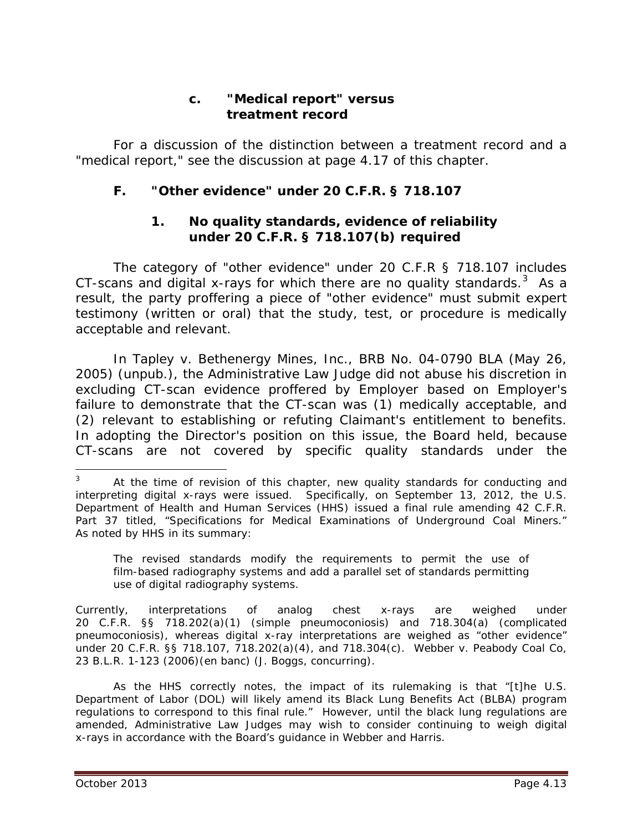## **c. "Medical report" versus treatment record**

For a discussion of the distinction between a treatment record and a "medical report," *see* the discussion at page 4.17 of this chapter*.*

# **F. "Other evidence" under 20 C.F.R. § 718.107**

## **1. No quality standards, evidence of reliability under 20 C.F.R. § 718.107(b) required**

The category of "other evidence" under 20 C.F.R § 718.107 includes CT-scans and digital x-rays for which there are no quality standards.  $3$  As a result, the party proffering a piece of "other evidence" must submit expert testimony (written or oral) that the study, test, or procedure is medically acceptable and relevant.

In *Tapley v. Bethenergy Mines, Inc.*, BRB No. 04-0790 BLA (May 26, 2005) (unpub.), the Administrative Law Judge did not abuse his discretion in excluding CT-scan evidence proffered by Employer based on Employer's failure to demonstrate that the CT-scan was (1) medically acceptable, and (2) relevant to establishing or refuting Claimant's entitlement to benefits. In adopting the Director's position on this issue, the Board held, because CT-scans are not covered by specific quality standards under the

The revised standards modify the requirements to permit the use of film-based radiography systems and add a parallel set of standards permitting use of digital radiography systems.

Currently, interpretations of analog chest x-rays are weighed under 20 C.F.R. §§ 718.202(a)(1) (simple pneumoconiosis) and 718.304(a) (complicated pneumoconiosis), whereas digital x-ray interpretations are weighed as "other evidence" under 20 C.F.R. §§ 718.107, 718.202(a)(4), and 718.304(c). *Webber v. Peabody Coal Co*, 23 B.L.R. 1-123 (2006)(en banc) (J. Boggs, concurring).

As the HHS correctly notes, the impact of its rulemaking is that "[t]he U.S. Department of Labor (DOL) will likely amend its Black Lung Benefits Act (BLBA) program regulations to correspond to this final rule." However, until the black lung regulations are amended, Administrative Law Judges may wish to consider continuing to weigh digital x-rays in accordance with the Board's guidance in *Webber* and *Harris*.

<span id="page-12-0"></span>At the time of revision of this chapter, new quality standards for conducting and interpreting digital x-rays were issued. Specifically, on September 13, 2012, the U.S. Department of Health and Human Services (HHS) issued a final rule amending 42 C.F.R. Part 37 titled, "Specifications for Medical Examinations of Underground Coal Miners." As noted by HHS in its summary:  $\overline{a}$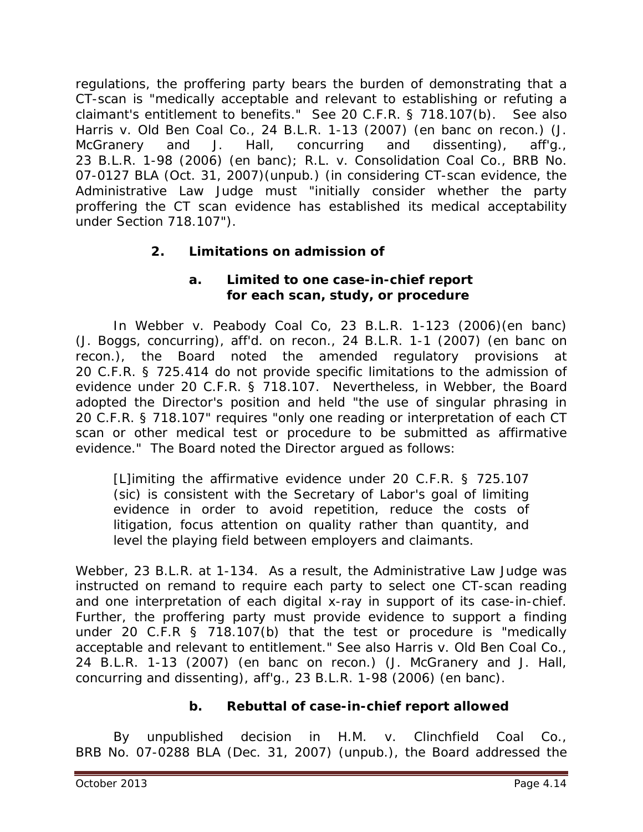regulations, the proffering party bears the burden of demonstrating that a CT-scan is "medically acceptable and relevant to establishing or refuting a claimant's entitlement to benefits." *See* 20 C.F.R. § 718.107(b). *See also Harris v. Old Ben Coal Co.*, 24 B.L.R. 1-13 (2007) (en banc on recon.) (J. McGranery and J. Hall, concurring and dissenting), *aff'g.*, 23 B.L.R. 1-98 (2006) (en banc); *R.L. v. Consolidation Coal Co.*, BRB No. 07-0127 BLA (Oct. 31, 2007)(unpub.) (in considering CT-scan evidence, the Administrative Law Judge must "initially consider whether the party proffering the CT scan evidence has established its medical acceptability under Section 718.107").

# **2. Limitations on admission of**

## **a. Limited to one case-in-chief report for each scan, study, or procedure**

In *Webber v. Peabody Coal Co*, 23 B.L.R. 1-123 (2006)(en banc) (J. Boggs, concurring), *aff'd. on recon.*, 24 B.L.R. 1-1 (2007) (*en banc on recon.*), the Board noted the amended regulatory provisions at 20 C.F.R. § 725.414 do not provide specific limitations to the admission of evidence under 20 C.F.R. § 718.107. Nevertheless, in *Webber*, the Board adopted the Director's position and held "the use of singular phrasing in 20 C.F.R. § 718.107" requires "only one reading or interpretation of each CT scan or other medical test or procedure to be submitted as affirmative evidence." The Board noted the Director argued as follows:

[L]imiting the affirmative evidence under 20 C.F.R. § 725.107 (sic) is consistent with the Secretary of Labor's goal of limiting evidence in order to avoid repetition, reduce the costs of litigation, focus attention on quality rather than quantity, and level the playing field between employers and claimants.

*Webber*, 23 B.L.R. at 1-134. As a result, the Administrative Law Judge was instructed on remand to require each party to select one CT-scan reading and one interpretation of each digital x-ray in support of its case-in-chief. Further, the proffering party must provide evidence to support a finding under 20 C.F.R § 718.107(b) that the test or procedure is "medically acceptable and relevant to entitlement." *See also Harris v. Old Ben Coal Co.*, 24 B.L.R. 1-13 (2007) (en banc on recon.) (J. McGranery and J. Hall, concurring and dissenting), *aff'g.*, 23 B.L.R. 1-98 (2006) (en banc).

## **b. Rebuttal of case-in-chief report allowed**

By unpublished decision in *H.M. v. Clinchfield Coal Co.*, BRB No. 07-0288 BLA (Dec. 31, 2007) (unpub.), the Board addressed the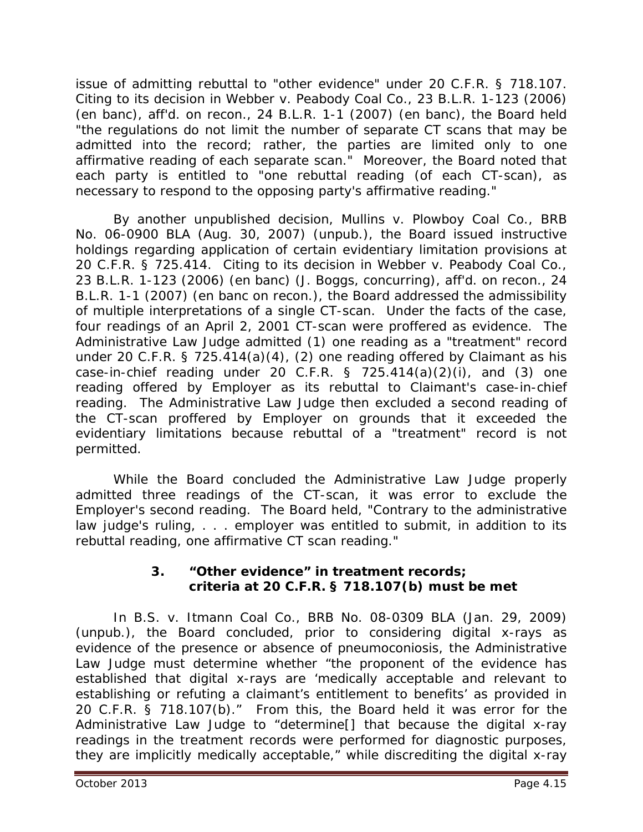issue of admitting rebuttal to "other evidence" under 20 C.F.R. § 718.107. Citing to its decision in *Webber v. Peabody Coal Co.*, 23 B.L.R. 1-123 (2006) (en banc), *aff'd. on recon.*, 24 B.L.R. 1-1 (2007) (en banc), the Board held "the regulations do not limit the number of separate CT scans that may be admitted into the record; rather, the parties are limited only to one affirmative reading of each separate scan." Moreover, the Board noted that each party is entitled to "one rebuttal reading (of each CT-scan), as necessary to respond to the opposing party's affirmative reading."

By another unpublished decision, *Mullins v. Plowboy Coal Co.*, BRB No. 06-0900 BLA (Aug. 30, 2007) (unpub.), the Board issued instructive holdings regarding application of certain evidentiary limitation provisions at 20 C.F.R. § 725.414. Citing to its decision in *Webber v. Peabody Coal Co.*, 23 B.L.R. 1-123 (2006) (*en banc*) (J. Boggs, concurring), *aff'd. on recon.*, 24 B.L.R. 1-1 (2007) (*en banc on recon.*), the Board addressed the admissibility of multiple interpretations of a single CT-scan. Under the facts of the case, four readings of an April 2, 2001 CT-scan were proffered as evidence. The Administrative Law Judge admitted (1) one reading as a "treatment" record under 20 C.F.R. § 725.414(a)(4), (2) one reading offered by Claimant as his case-in-chief reading under 20 C.F.R. § 725.414(a) $(2)(i)$ , and  $(3)$  one reading offered by Employer as its rebuttal to Claimant's case-in-chief reading. The Administrative Law Judge then excluded a second reading of the CT-scan proffered by Employer on grounds that it exceeded the evidentiary limitations because rebuttal of a "treatment" record is not permitted.

While the Board concluded the Administrative Law Judge properly admitted three readings of the CT-scan, it was error to exclude the Employer's second reading. The Board held, "Contrary to the administrative law judge's ruling, . . . employer was entitled to submit, in addition to its rebuttal reading, one affirmative CT scan reading."

## **3. "Other evidence" in treatment records; criteria at 20 C.F.R. § 718.107(b) must be met**

In *B.S. v. Itmann Coal Co.*, BRB No. 08-0309 BLA (Jan. 29, 2009) (unpub.), the Board concluded, prior to considering digital x-rays as evidence of the presence or absence of pneumoconiosis, the Administrative Law Judge must determine whether "the proponent of the evidence has established that digital x-rays are 'medically acceptable and relevant to establishing or refuting a claimant's entitlement to benefits' as provided in 20 C.F.R. § 718.107(b)." From this, the Board held it was error for the Administrative Law Judge to "determine[] that because the digital x-ray readings in the treatment records were performed for diagnostic purposes, they are implicitly medically acceptable," while discrediting the digital x-ray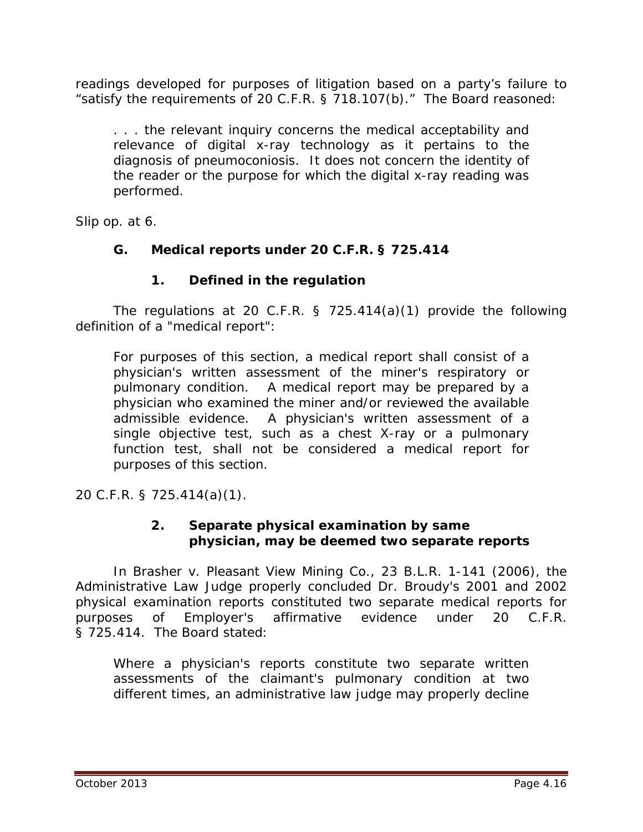readings developed for purposes of litigation based on a party's failure to "satisfy the requirements of 20 C.F.R. § 718.107(b)." The Board reasoned:

. . . the relevant inquiry concerns the medical acceptability and relevance of digital x-ray technology as it pertains to the diagnosis of pneumoconiosis. It does not concern the identity of the reader or the purpose for which the digital x-ray reading was performed.

*Slip op.* at 6.

## **G. Medical reports under 20 C.F.R. § 725.414**

## **1. Defined in the regulation**

The regulations at 20 C.F.R.  $\S$  725.414(a)(1) provide the following definition of a "medical report":

For purposes of this section, a medical report shall consist of a physician's written assessment of the miner's respiratory or pulmonary condition. A medical report may be prepared by a physician who examined the miner and/or reviewed the available admissible evidence. A physician's written assessment of a single objective test, such as a chest X-ray or a pulmonary function test, shall not be considered a medical report for purposes of this section.

20 C.F.R. § 725.414(a)(1).

## **2. Separate physical examination by same physician, may be deemed two separate reports**

In *Brasher v. Pleasant View Mining Co.*, 23 B.L.R. 1-141 (2006), the Administrative Law Judge properly concluded Dr. Broudy's 2001 and 2002 physical examination reports constituted two separate medical reports for purposes of Employer's affirmative evidence under 20 C.F.R. § 725.414. The Board stated:

Where a physician's reports constitute two separate written assessments of the claimant's pulmonary condition at two different times, an administrative law judge may properly decline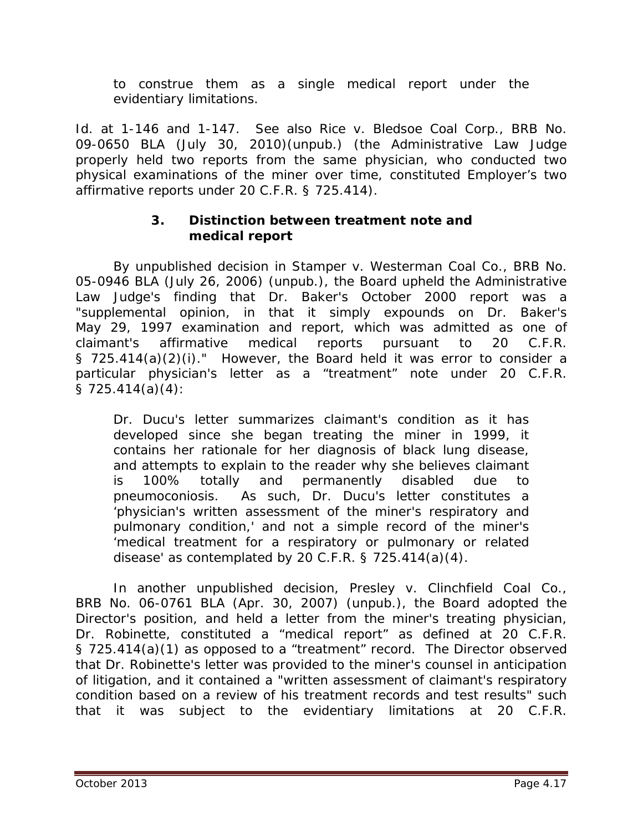to construe them as a single medical report under the evidentiary limitations.

*Id.* at 1-146 and 1-147. *See also Rice v. Bledsoe Coal Corp.*, BRB No. 09-0650 BLA (July 30, 2010)(unpub.) (the Administrative Law Judge properly held two reports from the same physician, who conducted two physical examinations of the miner over time, constituted Employer's two affirmative reports under 20 C.F.R. § 725.414).

## **3. Distinction between treatment note and medical report**

By unpublished decision in *Stamper v. Westerman Coal Co.*, BRB No. 05-0946 BLA (July 26, 2006) (unpub.), the Board upheld the Administrative Law Judge's finding that Dr. Baker's October 2000 report was a "supplemental opinion, in that it simply expounds on Dr. Baker's May 29, 1997 examination and report, which was admitted as one of claimant's affirmative medical reports pursuant to 20 C.F.R. § 725.414(a)(2)(i)." However, the Board held it was error to consider a particular physician's letter as a "treatment" note under 20 C.F.R. § 725.414(a)(4):

Dr. Ducu's letter summarizes claimant's condition as it has developed since she began treating the miner in 1999, it contains her rationale for her diagnosis of black lung disease, and attempts to explain to the reader why she believes claimant is 100% totally and permanently disabled due to pneumoconiosis. As such, Dr. Ducu's letter constitutes a 'physician's written assessment of the miner's respiratory and pulmonary condition,' and not a simple record of the miner's 'medical treatment for a respiratory or pulmonary or related disease' as contemplated by 20 C.F.R. § 725.414(a)(4).

In another unpublished decision, *Presley v. Clinchfield Coal Co.*, BRB No. 06-0761 BLA (Apr. 30, 2007) (unpub.), the Board adopted the Director's position, and held a letter from the miner's treating physician, Dr. Robinette, constituted a "medical report" as defined at 20 C.F.R. § 725.414(a)(1) as opposed to a "treatment" record. The Director observed that Dr. Robinette's letter was provided to the miner's counsel in anticipation of litigation, and it contained a "written assessment of claimant's respiratory condition based on a review of his treatment records and test results" such that it was subject to the evidentiary limitations at 20 C.F.R.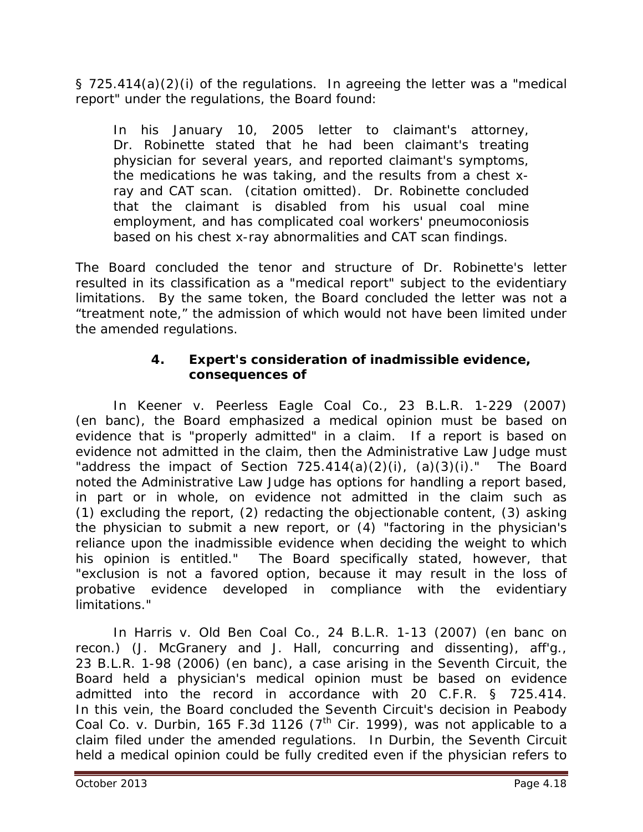§ 725.414(a)(2)(i) of the regulations. In agreeing the letter was a "medical report" under the regulations, the Board found:

In his January 10, 2005 letter to claimant's attorney, Dr. Robinette stated that he had been claimant's treating physician for several years, and reported claimant's symptoms, the medications he was taking, and the results from a chest xray and CAT scan. (citation omitted). Dr. Robinette concluded that the claimant is disabled from his usual coal mine employment, and has complicated coal workers' pneumoconiosis based on his chest x-ray abnormalities and CAT scan findings.

The Board concluded the tenor and structure of Dr. Robinette's letter resulted in its classification as a "medical report" subject to the evidentiary limitations. By the same token, the Board concluded the letter was not a "treatment note," the admission of which would not have been limited under the amended regulations.

## **4. Expert's consideration of inadmissible evidence, consequences of**

In *Keener v. Peerless Eagle Coal Co.*, 23 B.L.R. 1-229 (2007) (en banc), the Board emphasized a medical opinion must be based on evidence that is "properly admitted" in a claim. If a report is based on evidence not admitted in the claim, then the Administrative Law Judge must "address the impact of Section  $725.414(a)(2)(i)$ ,  $(a)(3)(i)$ ." The Board noted the Administrative Law Judge has options for handling a report based, in part or in whole, on evidence not admitted in the claim such as (1) excluding the report, (2) redacting the objectionable content, (3) asking the physician to submit a new report, or (4) "factoring in the physician's reliance upon the inadmissible evidence when deciding the weight to which his opinion is entitled." The Board specifically stated, however, that "exclusion is not a favored option, because it may result in the loss of probative evidence developed in compliance with the evidentiary limitations."

In *Harris v. Old Ben Coal Co.*, 24 B.L.R. 1-13 (2007) (en banc on recon.) (J. McGranery and J. Hall, concurring and dissenting), *aff'g.*, 23 B.L.R. 1-98 (2006) (en banc), a case arising in the Seventh Circuit, the Board held a physician's medical opinion must be based on evidence admitted into the record in accordance with 20 C.F.R. § 725.414. In this vein, the Board concluded the Seventh Circuit's decision in *Peabody Coal Co. v. Durbin*, 165 F.3d 1126 (7<sup>th</sup> Cir. 1999), was not applicable to a claim filed under the amended regulations. In *Durbin*, the Seventh Circuit held a medical opinion could be fully credited even if the physician refers to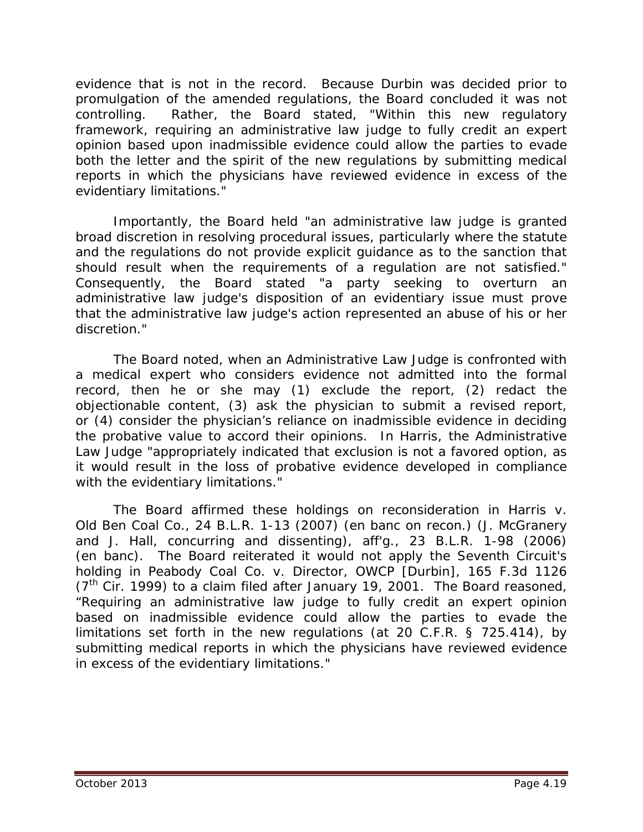evidence that is not in the record. Because *Durbin* was decided prior to promulgation of the amended regulations, the Board concluded it was not controlling. Rather, the Board stated, "Within this new regulatory framework, requiring an administrative law judge to fully credit an expert opinion based upon inadmissible evidence could allow the parties to evade both the letter and the spirit of the new regulations by submitting medical reports in which the physicians have reviewed evidence in excess of the evidentiary limitations."

Importantly, the Board held "an administrative law judge is granted broad discretion in resolving procedural issues, particularly where the statute and the regulations do not provide explicit guidance as to the sanction that should result when the requirements of a regulation are not satisfied." Consequently, the Board stated "a party seeking to overturn an administrative law judge's disposition of an evidentiary issue must prove that the administrative law judge's action represented an abuse of his or her discretion."

The Board noted, when an Administrative Law Judge is confronted with a medical expert who considers evidence not admitted into the formal record, then he or she may (1) exclude the report, (2) redact the objectionable content, (3) ask the physician to submit a revised report, or (4) consider the physician's reliance on inadmissible evidence in deciding the probative value to accord their opinions. In *Harris*, the Administrative Law Judge "appropriately indicated that exclusion is not a favored option, as it would result in the loss of probative evidence developed in compliance with the evidentiary limitations."

The Board affirmed these holdings on reconsideration in *Harris v. Old Ben Coal Co.*, 24 B.L.R. 1-13 (2007) (en banc on recon.) (J. McGranery and J. Hall, concurring and dissenting), *aff'g.*, 23 B.L.R. 1-98 (2006) (en banc). The Board reiterated it would not apply the Seventh Circuit's holding in *Peabody Coal Co. v. Director, OWCP [Durbin]*, 165 F.3d 1126  $(7<sup>th</sup>$  Cir. 1999) to a claim filed after January 19, 2001. The Board reasoned, "Requiring an administrative law judge to fully credit an expert opinion based on inadmissible evidence could allow the parties to evade the limitations set forth in the new regulations (at 20 C.F.R. § 725.414), by submitting medical reports in which the physicians have reviewed evidence in excess of the evidentiary limitations."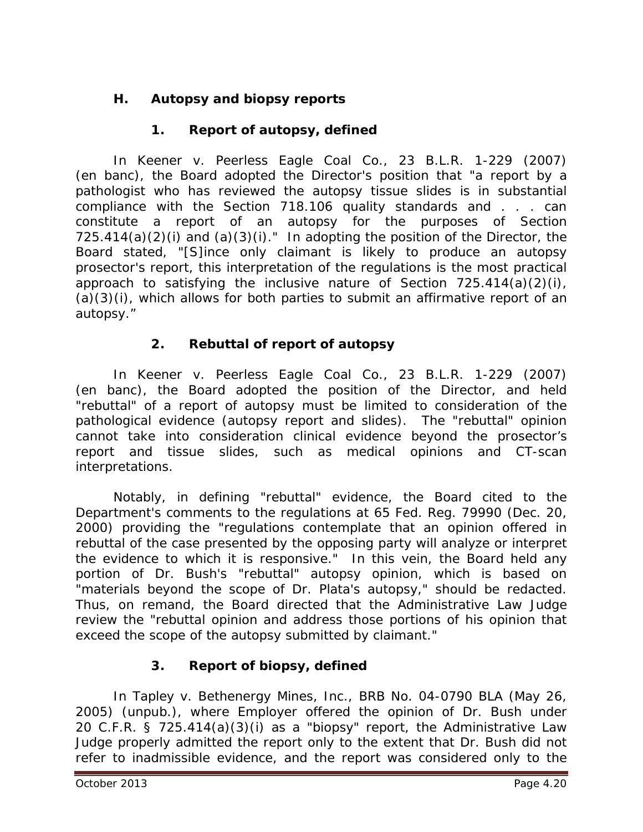# **H. Autopsy and biopsy reports**

# **1. Report of autopsy, defined**

In *Keener v. Peerless Eagle Coal Co.*, 23 B.L.R. 1-229 (2007) (en banc), the Board adopted the Director's position that "a report by a pathologist who has reviewed the autopsy tissue slides is in substantial compliance with the Section 718.106 quality standards and . . . can constitute a report of an autopsy for the purposes of Section  $725.414(a)(2)(i)$  and  $(a)(3)(i)$ ." In adopting the position of the Director, the Board stated, "[S]ince only claimant is likely to produce an autopsy prosector's report, this interpretation of the regulations is the most practical approach to satisfying the inclusive nature of Section 725.414(a)(2)(i), (a)(3)(i), which allows for both parties to submit an affirmative report of an autopsy."

# **2. Rebuttal of report of autopsy**

In *Keener v. Peerless Eagle Coal Co.*, 23 B.L.R. 1-229 (2007) (en banc), the Board adopted the position of the Director, and held "rebuttal" of a report of autopsy must be limited to consideration of the pathological evidence (autopsy report and slides). The "rebuttal" opinion cannot take into consideration clinical evidence beyond the prosector's report and tissue slides, such as medical opinions and CT-scan interpretations.

Notably, in defining "rebuttal" evidence, the Board cited to the Department's comments to the regulations at 65 Fed. Reg. 79990 (Dec. 20, 2000) providing the "regulations contemplate that an opinion offered in rebuttal of the case presented by the opposing party will analyze or interpret the evidence to which it is responsive." In this vein, the Board held any portion of Dr. Bush's "rebuttal" autopsy opinion, which is based on "materials beyond the scope of Dr. Plata's autopsy," should be redacted. Thus, on remand, the Board directed that the Administrative Law Judge review the "rebuttal opinion and address those portions of his opinion that exceed the scope of the autopsy submitted by claimant."

# **3. Report of biopsy, defined**

In *Tapley v. Bethenergy Mines, Inc.*, BRB No. 04-0790 BLA (May 26, 2005) (unpub.), where Employer offered the opinion of Dr. Bush under 20 C.F.R. § 725.414(a)(3)(i) as a "biopsy" report, the Administrative Law Judge properly admitted the report only to the extent that Dr. Bush did not refer to inadmissible evidence, and the report was considered only to the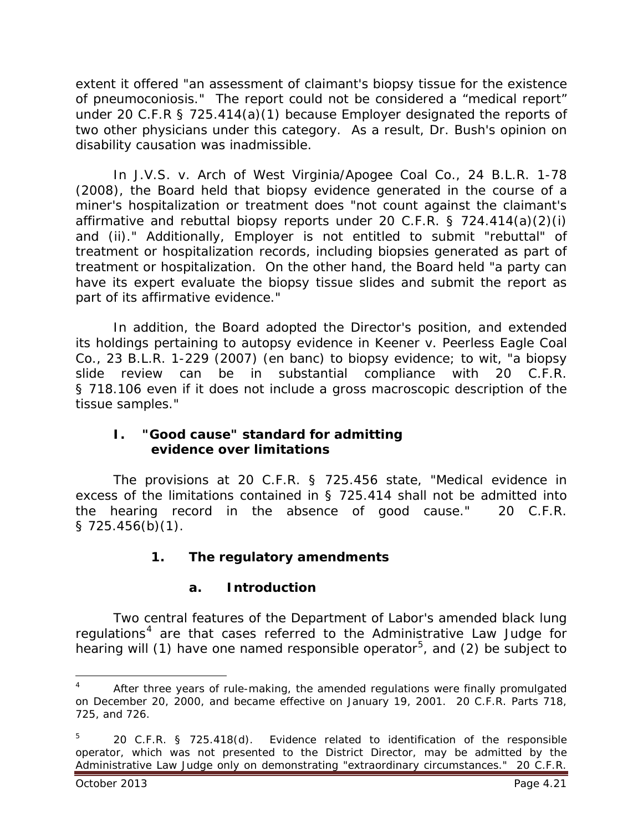extent it offered "an assessment of claimant's biopsy tissue for the existence of pneumoconiosis." The report could not be considered a "medical report" under 20 C.F.R § 725.414(a)(1) because Employer designated the reports of two other physicians under this category. As a result, Dr. Bush's opinion on disability causation was inadmissible.

 In *J.V.S. v. Arch of West Virginia/Apogee Coal Co.*, 24 B.L.R. 1-78 (2008), the Board held that biopsy evidence generated in the course of a miner's hospitalization or treatment does "not count against the claimant's affirmative and rebuttal biopsy reports under 20 C.F.R. § 724.414(a)(2)(i) and (ii)." Additionally, Employer is not entitled to submit "rebuttal" of treatment or hospitalization records, including biopsies generated as part of treatment or hospitalization. On the other hand, the Board held "a party can have its expert evaluate the biopsy tissue slides and submit the report as part of its affirmative evidence."

 In addition, the Board adopted the Director's position, and extended its holdings pertaining to autopsy evidence in *Keener v. Peerless Eagle Coal Co.*, 23 B.L.R. 1-229 (2007) (en banc) to biopsy evidence; *to wit*, "a biopsy slide review can be in substantial compliance with 20 C.F.R. § 718.106 even if it does not include a gross macroscopic description of the tissue samples."

#### **I. "Good cause" standard for admitting evidence over limitations**

The provisions at 20 C.F.R. § 725.456 state, "Medical evidence in excess of the limitations contained in § 725.414 shall not be admitted into the hearing record in the absence of good cause." 20 C.F.R.  $$725.456(b)(1)$ .

# **1. The regulatory amendments**

# **a. Introduction**

Two central features of the Department of Labor's amended black lung regulations<sup>[4](#page-20-0)</sup> are that cases referred to the Administrative Law Judge for hearing will (1) have one named responsible operator<sup>[5](#page-20-1)</sup>, and (2) be subject to

 $\overline{a}$ 

<span id="page-20-0"></span><sup>4</sup> After three years of rule-making, the amended regulations were finally promulgated on December 20, 2000, and became effective on January 19, 2001. 20 C.F.R. Parts 718, 725, and 726.

<span id="page-20-1"></span><sup>5</sup> 20 C.F.R. § 725.418(d). Evidence related to identification of the responsible operator, which was not presented to the District Director, may be admitted by the Administrative Law Judge only on demonstrating "extraordinary circumstances." 20 C.F.R.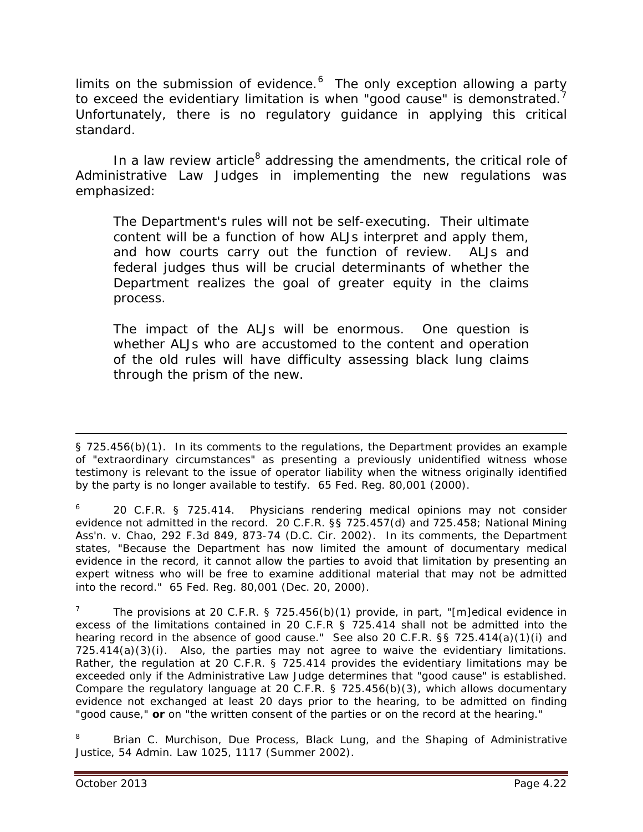limits on the submission of evidence.<sup>[6](#page-21-0)</sup> The only exception allowing a party to exceed the evidentiary limitation is when "good cause" is demonstrated.<sup>[7](#page-21-1)</sup> Unfortunately, there is no regulatory guidance in applying this critical standard.

In a law review article<sup>[8](#page-21-2)</sup> addressing the amendments, the critical role of Administrative Law Judges in implementing the new regulations was emphasized:

The Department's rules will not be self-executing. Their ultimate content will be a function of how ALJs interpret and apply them, and how courts carry out the function of review. ALJs and federal judges thus will be crucial determinants of whether the Department realizes the goal of greater equity in the claims process.

The impact of the ALJs will be enormous. One question is whether ALJs who are accustomed to the content and operation of the old rules will have difficulty assessing black lung claims through the prism of the new.

<span id="page-21-2"></span>8 Brian C. Murchison, *Due Process, Black Lung, and the Shaping of Administrative Justice*, 54 Admin. Law 1025, 1117 (Summer 2002).

<sup>§ 725.456(</sup>b)(1). In its comments to the regulations, the Department provides an example of "extraordinary circumstances" as presenting a previously unidentified witness whose testimony is relevant to the issue of operator liability when the witness originally identified by the party is no longer available to testify. 65 Fed. Reg. 80,001 (2000).  $\overline{a}$ 

<span id="page-21-0"></span><sup>6</sup> 20 C.F.R. § 725.414. Physicians rendering medical opinions may not consider evidence not admitted in the record. 20 C.F.R. §§ 725.457(d) and 725.458; *National Mining Ass'n. v. Chao*, 292 F.3d 849, 873-74 (D.C. Cir. 2002). In its comments, the Department states, "Because the Department has now limited the amount of documentary medical evidence in the record, it cannot allow the parties to avoid that limitation by presenting an expert witness who will be free to examine additional material that may not be admitted into the record." 65 Fed. Reg. 80,001 (Dec. 20, 2000).

<span id="page-21-1"></span><sup>7</sup> The provisions at 20 C.F.R. § 725.456(b)(1) provide, in part, "[m]edical evidence in excess of the limitations contained in 20 C.F.R § 725.414 shall not be admitted into the hearing record in the absence of good cause." *See also* 20 C.F.R. §§ 725.414(a)(1)(i) and  $725.414(a)(3)(i)$ . Also, the parties may not agree to waive the evidentiary limitations. Rather, the regulation at 20 C.F.R. § 725.414 provides the evidentiary limitations may be exceeded only if the Administrative Law Judge determines that "good cause" is established. Compare the regulatory language at 20 C.F.R. § 725.456(b)(3), which allows documentary evidence not exchanged at least 20 days prior to the hearing, to be admitted on finding "good cause," **or** on "the written consent of the parties or on the record at the hearing."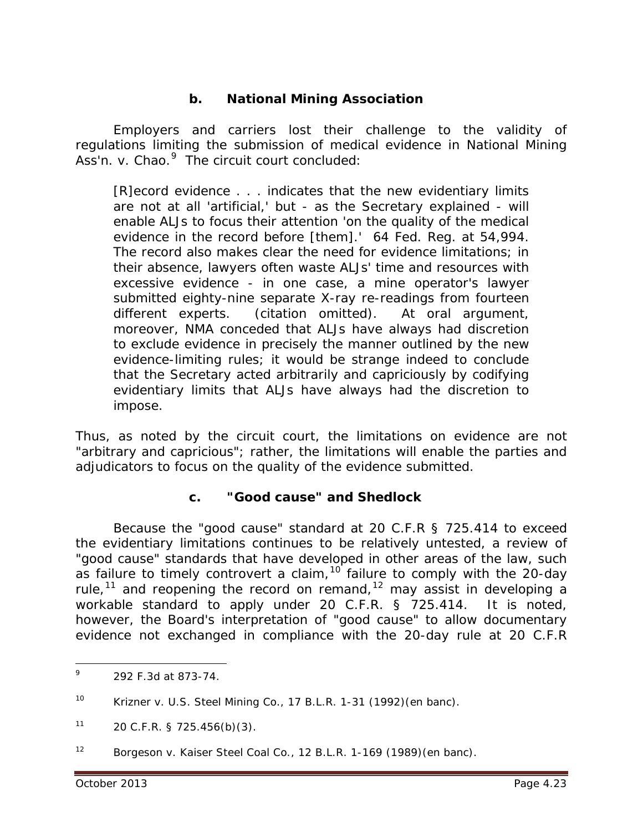## **b.** *National Mining Association*

Employers and carriers lost their challenge to the validity of regulations limiting the submission of medical evidence in *National Mining*  Ass'n. v. Chao.<sup>[9](#page-22-0)</sup> The circuit court concluded:

[R]ecord evidence . . . indicates that the new evidentiary limits are not at all 'artificial,' but - as the Secretary explained - will enable ALJs to focus their attention 'on the quality of the medical evidence in the record before [them].' 64 Fed. Reg. at 54,994. The record also makes clear the need for evidence limitations; in their absence, lawyers often waste ALJs' time and resources with excessive evidence - in one case, a mine operator's lawyer submitted eighty-nine separate X-ray re-readings from fourteen different experts. (citation omitted). At oral argument, moreover, NMA conceded that ALJs have always had discretion to exclude evidence in precisely the manner outlined by the new evidence-limiting rules; it would be strange indeed to conclude that the Secretary acted arbitrarily and capriciously by codifying evidentiary limits that ALJs have always had the discretion to impose.

Thus, as noted by the circuit court, the limitations on evidence are not "arbitrary and capricious"; rather, the limitations will enable the parties and adjudicators to focus on the quality of the evidence submitted.

#### **c. "Good cause" and** *Shedlock*

Because the "good cause" standard at 20 C.F.R § 725.414 to exceed the evidentiary limitations continues to be relatively untested, a review of "good cause" standards that have developed in other areas of the law, such as failure to timely controvert a claim,<sup>[10](#page-22-1)</sup> failure to comply with the 20-day rule,<sup>[11](#page-22-2)</sup> and reopening the record on remand,<sup>[12](#page-22-3)</sup> may assist in developing a workable standard to apply under 20 C.F.R. § 725.414. It is noted, however, the Board's interpretation of "good cause" to allow documentary evidence not exchanged in compliance with the 20-day rule at 20 C.F.R

<span id="page-22-0"></span><sup>9</sup> 292 F.3d at 873-74. 9

<span id="page-22-1"></span><sup>10</sup> *Krizner v. U.S. Steel Mining Co.*, 17 B.L.R. 1-31 (1992)(en banc).

<span id="page-22-2"></span> $11$  20 C.F.R. § 725.456(b)(3).

<span id="page-22-3"></span><sup>12</sup> *Borgeson v. Kaiser Steel Coal Co.*, 12 B.L.R. 1-169 (1989)(en banc).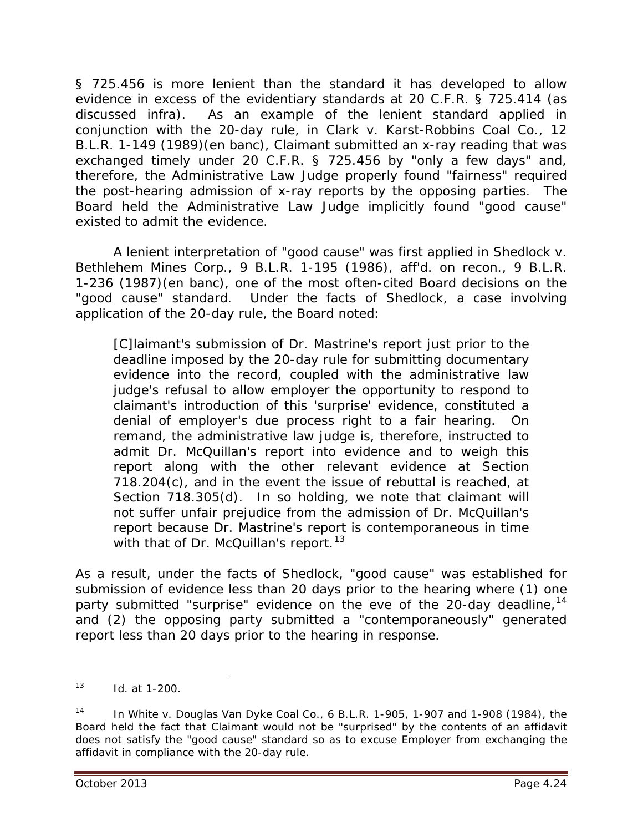§ 725.456 is more lenient than the standard it has developed to allow evidence in excess of the evidentiary standards at 20 C.F.R. § 725.414 (as discussed *infra*). As an example of the lenient standard applied in conjunction with the 20-day rule, in *Clark v. Karst-Robbins Coal Co.*, 12 B.L.R. 1-149 (1989)(en banc), Claimant submitted an x-ray reading that was exchanged timely under 20 C.F.R. § 725.456 by "only a few days" and, therefore, the Administrative Law Judge properly found "fairness" required the post-hearing admission of x-ray reports by the opposing parties. The Board held the Administrative Law Judge implicitly found "good cause" existed to admit the evidence.

A lenient interpretation of "good cause" was first applied in *Shedlock v. Bethlehem Mines Corp.*, 9 B.L.R. 1-195 (1986), *aff'd. on recon.*, 9 B.L.R. 1-236 (1987)(en banc), one of the most often-cited Board decisions on the "good cause" standard. Under the facts of *Shedlock*, a case involving application of the 20-day rule, the Board noted:

[C]laimant's submission of Dr. Mastrine's report just prior to the deadline imposed by the 20-day rule for submitting documentary evidence into the record, coupled with the administrative law judge's refusal to allow employer the opportunity to respond to claimant's introduction of this 'surprise' evidence, constituted a denial of employer's due process right to a fair hearing. On remand, the administrative law judge is, therefore, instructed to admit Dr. McQuillan's report into evidence and to weigh this report along with the other relevant evidence at Section 718.204(c), and in the event the issue of rebuttal is reached, at Section 718.305(d). In so holding, we note that claimant will not suffer unfair prejudice from the admission of Dr. McQuillan's report because Dr. Mastrine's report is contemporaneous in time with that of Dr. McQuillan's report.<sup>[13](#page-23-0)</sup>

As a result, under the facts of *Shedlock*, "good cause" was established for submission of evidence less than 20 days prior to the hearing where (1) one party submitted "surprise" evidence on the eve of the 20-day deadline, <sup>[14](#page-23-1)</sup> and (2) the opposing party submitted a "contemporaneously" generated report less than 20 days prior to the hearing in response.

<span id="page-23-0"></span><sup>13</sup> *Id.* at 1-200.  $\overline{a}$ 

<span id="page-23-1"></span><sup>14</sup> In *White v. Douglas Van Dyke Coal Co.*, 6 B.L.R. 1-905, 1-907 and 1-908 (1984), the Board held the fact that Claimant would not be "surprised" by the contents of an affidavit does not satisfy the "good cause" standard so as to excuse Employer from exchanging the affidavit in compliance with the 20-day rule.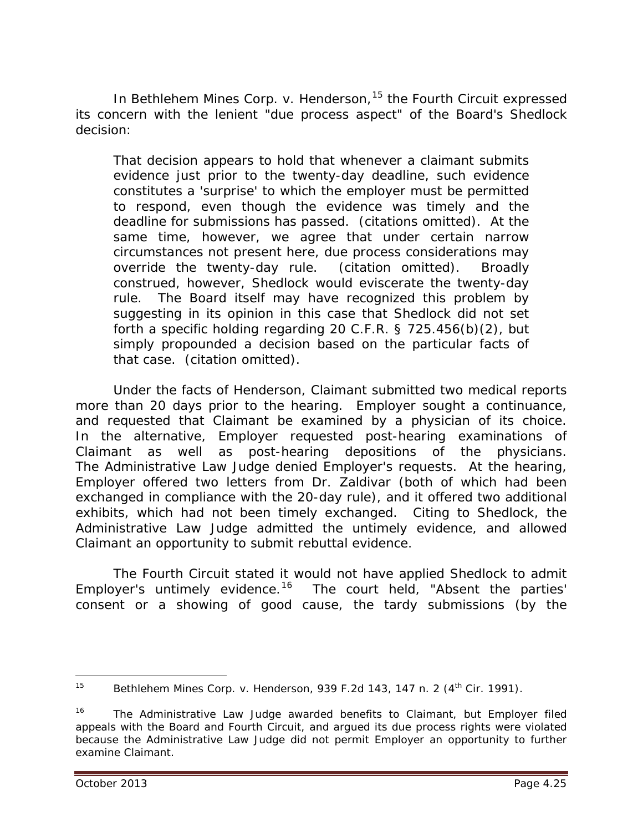In *Bethlehem Mines Corp. v. Henderson,* [15](#page-24-0) the Fourth Circuit expressed its concern with the lenient "due process aspect" of the Board's *Shedlock* decision:

That decision appears to hold that whenever a claimant submits evidence just prior to the twenty-day deadline, such evidence constitutes a 'surprise' to which the employer must be permitted to respond, even though the evidence was timely and the deadline for submissions has passed. (citations omitted). At the same time, however, we agree that under certain narrow circumstances not present here, due process considerations may override the twenty-day rule. (citation omitted). Broadly construed, however, *Shedlock* would eviscerate the twenty-day rule. The Board itself may have recognized this problem by suggesting in its opinion in this case that *Shedlock* did not set forth a specific holding regarding 20 C.F.R. § 725.456(b)(2), but simply propounded a decision based on the particular facts of that case. (citation omitted).

Under the facts of *Henderson*, Claimant submitted two medical reports more than 20 days prior to the hearing. Employer sought a continuance, and requested that Claimant be examined by a physician of its choice. In the alternative, Employer requested post-hearing examinations of Claimant as well as post-hearing depositions of the physicians. The Administrative Law Judge denied Employer's requests. At the hearing, Employer offered two letters from Dr. Zaldivar (both of which had been exchanged in compliance with the 20-day rule), and it offered two additional exhibits, which had not been timely exchanged. Citing to *Shedlock*, the Administrative Law Judge admitted the untimely evidence, and allowed Claimant an opportunity to submit rebuttal evidence.

The Fourth Circuit stated it would not have applied *Shedlock* to admit Employer's untimely evidence.<sup>[16](#page-24-1)</sup> The court held, "Absent the parties' consent or a showing of good cause, the tardy submissions (by the

<span id="page-24-0"></span><sup>&</sup>lt;sup>15</sup> *Bethlehem Mines Corp. v. Henderson*, 939 F.2d 143, 147 n. 2 (4<sup>th</sup> Cir. 1991).  $\overline{a}$ 

<span id="page-24-1"></span><sup>&</sup>lt;sup>16</sup> The Administrative Law Judge awarded benefits to Claimant, but Employer filed appeals with the Board and Fourth Circuit, and argued its due process rights were violated because the Administrative Law Judge did not permit Employer an opportunity to further examine Claimant.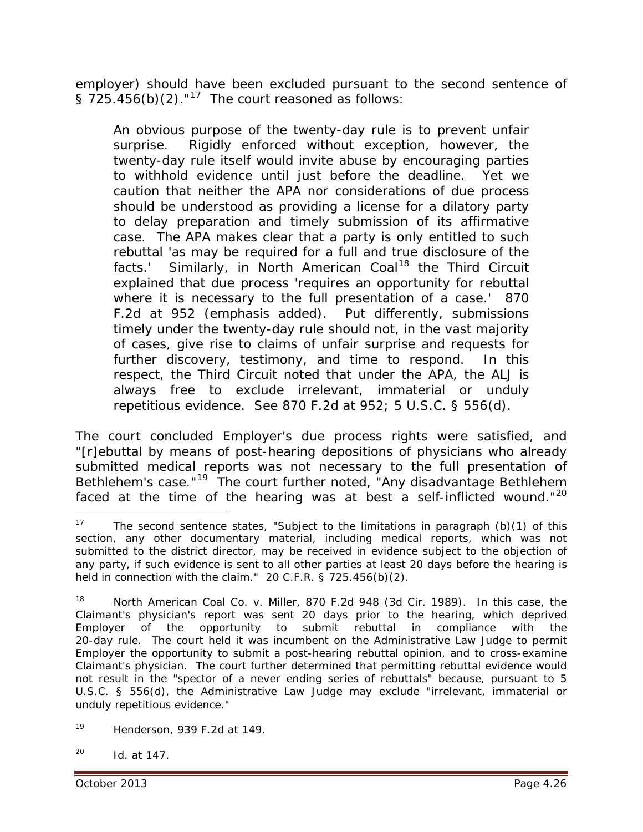employer) should have been excluded pursuant to the second sentence of §  $725.456(b)(2)$ ."<sup>17</sup> The court reasoned as follows:

An obvious purpose of the twenty-day rule is to prevent unfair surprise. Rigidly enforced without exception, however, the twenty-day rule itself would invite abuse by encouraging parties to withhold evidence until just before the deadline. Yet we caution that neither the APA nor considerations of due process should be understood as providing a license for a dilatory party to delay preparation and timely submission of its affirmative case. The APA makes clear that a party is only entitled to such rebuttal 'as may be required for a full and true disclosure of the facts.' Similarly, in *North American Coal[18](#page-25-1)* the Third Circuit explained that due process 'requires an opportunity for rebuttal *where it is necessary to the full presentation of a case*.' 870 F.2d at 952 (emphasis added). Put differently, submissions timely under the twenty-day rule should not, in the vast majority of cases, give rise to claims of unfair surprise and requests for further discovery, testimony, and time to respond. In this respect, the Third Circuit noted that under the APA, the ALJ is always free to exclude irrelevant, immaterial or unduly repetitious evidence. *See* 870 F.2d at 952; 5 U.S.C. § 556(d).

The court concluded Employer's due process rights were satisfied, and "[r]ebuttal by means of post-hearing depositions of physicians who already submitted medical reports was not necessary to the full presentation of Bethlehem's case."[19](#page-25-2) The court further noted, "Any disadvantage Bethlehem faced at the time of the hearing was at best a self-inflicted wound."<sup>[20](#page-25-3)</sup>

<span id="page-25-3"></span>20 *Id.* at 147.

<span id="page-25-0"></span><sup>&</sup>lt;sup>17</sup> The second sentence states, "Subject to the limitations in paragraph (b)(1) of this section, any other documentary material, including medical reports, which was not submitted to the district director, may be received in evidence subject to the objection of any party, if such evidence is sent to all other parties at least 20 days before the hearing is held in connection with the claim." 20 C.F.R. § 725.456(b)(2).  $\overline{a}$ 

<span id="page-25-1"></span><sup>18</sup> *North American Coal Co. v. Miller*, 870 F.2d 948 (3d Cir. 1989). In this case, the Claimant's physician's report was *sent* 20 days prior to the hearing, which deprived Employer of the opportunity to submit rebuttal in compliance with the 20-day rule. The court held it was incumbent on the Administrative Law Judge to permit Employer the opportunity to submit a post-hearing rebuttal opinion, and to cross-examine Claimant's physician. The court further determined that permitting rebuttal evidence would not result in the "spector of a never ending series of rebuttals" because, pursuant to 5 U.S.C. § 556(d), the Administrative Law Judge may exclude "irrelevant, immaterial or unduly repetitious evidence."

<span id="page-25-2"></span><sup>19</sup> *Henderson*, 939 F.2d at 149.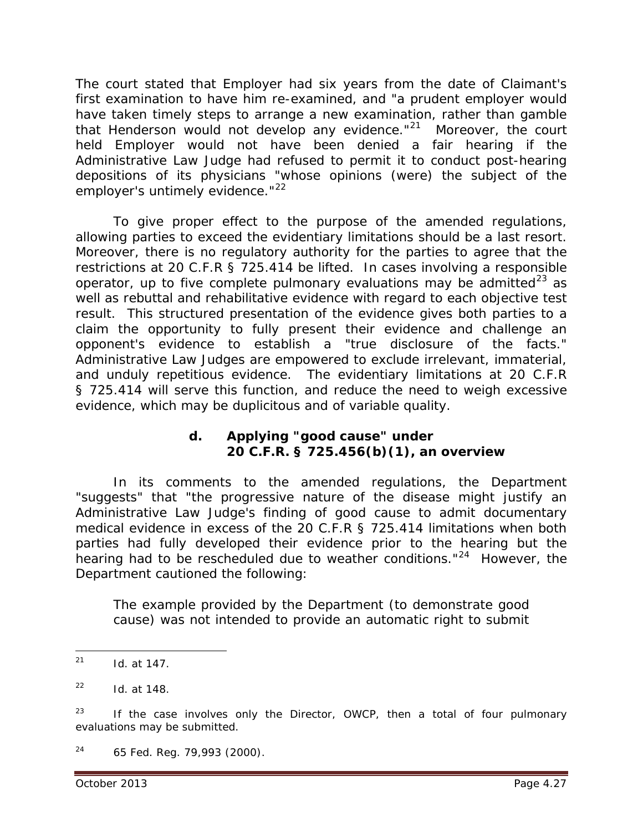The court stated that Employer had six years from the date of Claimant's first examination to have him re-examined, and "a prudent employer would have taken timely steps to arrange a new examination, rather than gamble that Henderson would not develop any evidence."<sup>21</sup> Moreover, the court held Employer would not have been denied a fair hearing if the Administrative Law Judge had refused to permit it to conduct post-hearing depositions of its physicians "whose opinions (were) the subject of the employer's untimely evidence."<sup>22</sup>

To give proper effect to the purpose of the amended regulations, allowing parties to exceed the evidentiary limitations should be a last resort. Moreover, there is no regulatory authority for the parties to agree that the restrictions at 20 C.F.R § 725.414 be lifted. In cases involving a responsible operator, up to five complete pulmonary evaluations may be admitted<sup>[23](#page-26-2)</sup> as well as rebuttal and rehabilitative evidence with regard to each objective test result. This structured presentation of the evidence gives both parties to a claim the opportunity to fully present their evidence and challenge an opponent's evidence to establish a "true disclosure of the facts." Administrative Law Judges are empowered to exclude irrelevant, immaterial, and unduly repetitious evidence. The evidentiary limitations at 20 C.F.R § 725.414 will serve this function, and reduce the need to weigh excessive evidence, which may be duplicitous and of variable quality.

## **d. Applying "good cause" under 20 C.F.R. § 725.456(b)(1), an overview**

In its comments to the amended regulations, the Department "suggests" that "the progressive nature of the disease might justify an Administrative Law Judge's finding of good cause to admit documentary medical evidence in excess of the 20 C.F.R § 725.414 limitations when both parties had fully developed their evidence prior to the hearing but the hearing had to be rescheduled due to weather conditions."[24](#page-26-3) However, the Department cautioned the following:

The example provided by the Department (to demonstrate good cause) was not intended to provide an automatic right to submit

<span id="page-26-0"></span><sup>21</sup> *Id.* at 147.  $\overline{a}$ 

<span id="page-26-1"></span><sup>22</sup> *Id.* at 148.

<span id="page-26-2"></span><sup>&</sup>lt;sup>23</sup> If the case involves only the Director, OWCP, then a total of four pulmonary evaluations may be submitted.

<span id="page-26-3"></span> $24$  65 Fed. Reg. 79,993 (2000).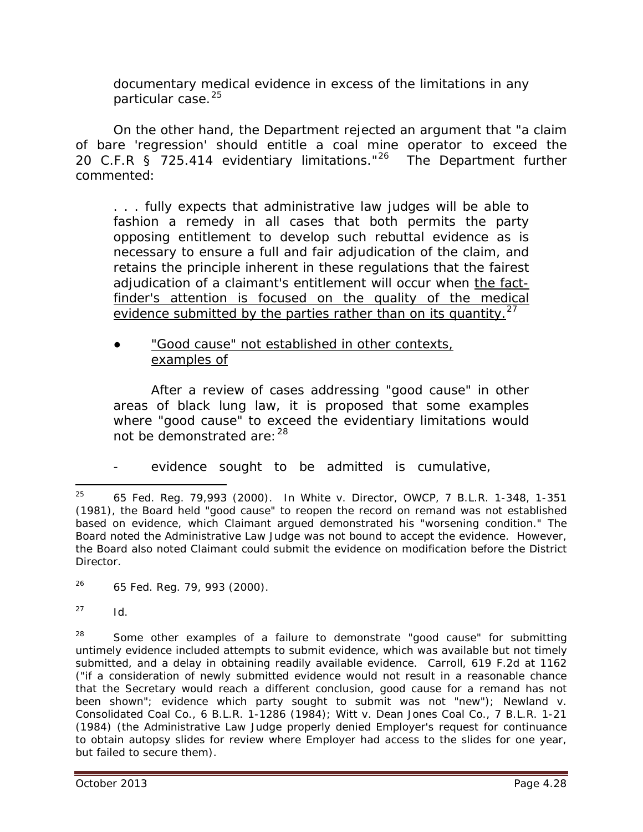documentary medical evidence in excess of the limitations in any particular case.<sup>[25](#page-27-0)</sup>

On the other hand, the Department rejected an argument that "a claim of bare 'regression' should entitle a coal mine operator to exceed the 20 C.F.R § 725.414 evidentiary limitations."<sup>26</sup> The Department further commented:

. . . fully expects that administrative law judges will be able to fashion a remedy in all cases that both permits the party opposing entitlement to develop such rebuttal evidence as is necessary to ensure a full and fair adjudication of the claim, and retains the principle inherent in these regulations that the fairest adjudication of a claimant's entitlement will occur when the factfinder's attention is focused on the quality of the medical evidence submitted by the parties rather than on its quantity.<sup>[27](#page-27-2)</sup>

**●** "Good cause" not established in other contexts, examples of

After a review of cases addressing "good cause" in other areas of black lung law, it is proposed that some examples where "good cause" to exceed the evidentiary limitations would not be demonstrated are: [28](#page-27-3)

evidence sought to be admitted is cumulative,

<span id="page-27-1"></span>26 65 Fed. Reg. 79, 993 (2000)*.*

<span id="page-27-2"></span> $^{27}$  *Id.* 

<span id="page-27-3"></span> $28$  Some other examples of a failure to demonstrate "good cause" for submitting untimely evidence included attempts to submit evidence, which was available but not timely submitted, and a delay in obtaining readily available evidence. *Carroll*, 619 F.2d at 1162 ("if a consideration of newly submitted evidence would not result in a reasonable chance that the Secretary would reach a different conclusion, good cause for a remand has not been shown"; evidence which party sought to submit was not "new"); *Newland v. Consolidated Coal Co.*, 6 B.L.R. 1-1286 (1984); *Witt v. Dean Jones Coal Co.*, 7 B.L.R. 1-21 (1984) (the Administrative Law Judge properly denied Employer's request for continuance to obtain autopsy slides for review where Employer had access to the slides for one year, but failed to secure them).

<span id="page-27-0"></span><sup>25 65</sup> Fed. Reg. 79,993 (2000). In *White v. Director, OWCP*, 7 B.L.R. 1-348, 1-351 (1981), the Board held "good cause" to reopen the record on remand was not established based on evidence, which Claimant argued demonstrated his "worsening condition." The Board noted the Administrative Law Judge was not bound to accept the evidence. However, the Board also noted Claimant could submit the evidence on modification before the District **Director**  $25$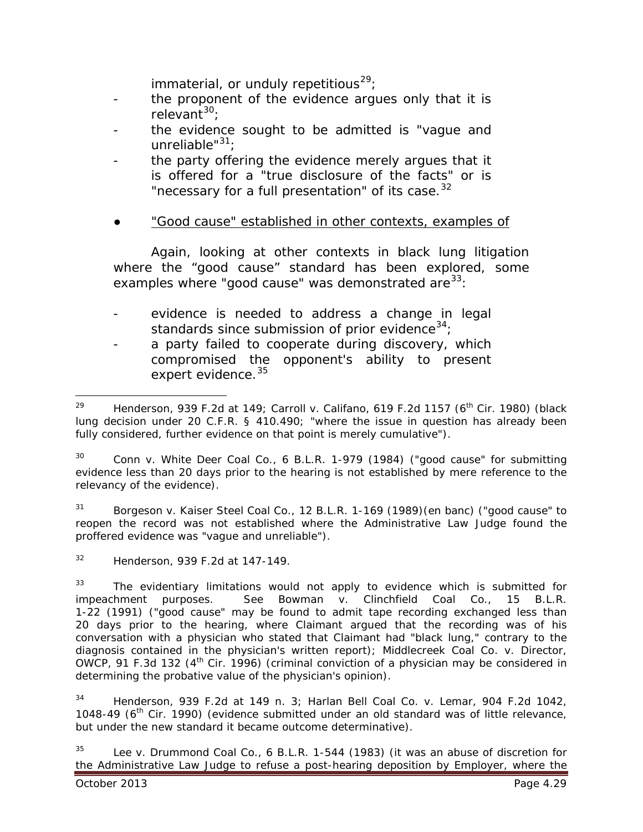immaterial, or unduly repetitious<sup>29</sup>;

- the proponent of the evidence argues only that it is relevant<sup>[30](#page-28-1)</sup>;
- the evidence sought to be admitted is "vague and unreliable"<sup>[31](#page-28-2)</sup>;
- the party offering the evidence merely argues that it is offered for a "true disclosure of the facts" or is "necessary for a full presentation" of its case.<sup>[32](#page-28-3)</sup>
- **●** "Good cause" established in other contexts, examples of

Again, looking at other contexts in black lung litigation where the "good cause" standard has been explored, some examples where "good cause" was demonstrated are  $33$ :

- evidence is needed to address a change in legal standards since submission of prior evidence<sup>34</sup>;
- a party failed to cooperate during discovery, which compromised the opponent's ability to present expert evidence.<sup>[35](#page-28-6)</sup>

<span id="page-28-1"></span>30 *Conn v. White Deer Coal Co.*, 6 B.L.R. 1-979 (1984) ("good cause" for submitting evidence less than 20 days prior to the hearing is not established by mere reference to the relevancy of the evidence).

<span id="page-28-2"></span>31 *Borgeson v. Kaiser Steel Coal Co.*, 12 B.L.R. 1-169 (1989)(en banc) ("good cause" to reopen the record was not established where the Administrative Law Judge found the proffered evidence was "vague and unreliable").

<span id="page-28-3"></span>32 *Henderson,* 939 F.2d at 147-149.

<span id="page-28-4"></span> $33$  The evidentiary limitations would not apply to evidence which is submitted for impeachment purposes. *See Bowman v. Clinchfield Coal Co.*, 15 B.L.R. 1-22 (1991) ("good cause" may be found to admit tape recording exchanged less than 20 days prior to the hearing, where Claimant argued that the recording was of his conversation with a physician who stated that Claimant had "black lung," contrary to the diagnosis contained in the physician's written report); *Middlecreek Coal Co. v. Director, OWCP*, 91 F.3d 132 (4<sup>th</sup> Cir. 1996) (criminal conviction of a physician may be considered in determining the probative value of the physician's opinion).

<span id="page-28-5"></span>34 *Henderson,* 939 F.2d at 149 n. 3; *Harlan Bell Coal Co. v. Lemar*, 904 F.2d 1042, 1048-49 ( $6<sup>th</sup>$  Cir. 1990) (evidence submitted under an old standard was of little relevance, but under the new standard it became outcome determinative).

<span id="page-28-6"></span>35 *Lee v. Drummond Coal Co.*, 6 B.L.R. 1-544 (1983) (it was an abuse of discretion for the Administrative Law Judge to refuse a post-hearing deposition by Employer, where the

<span id="page-28-0"></span><sup>29</sup> *Henderson,* 939 F.2d at 149; *Carroll v. Califano*, 619 F.2d 1157 (6th Cir. 1980) (black lung decision under 20 C.F.R. § 410.490; "where the issue in question has already been fully considered, further evidence on that point is merely cumulative").  $29$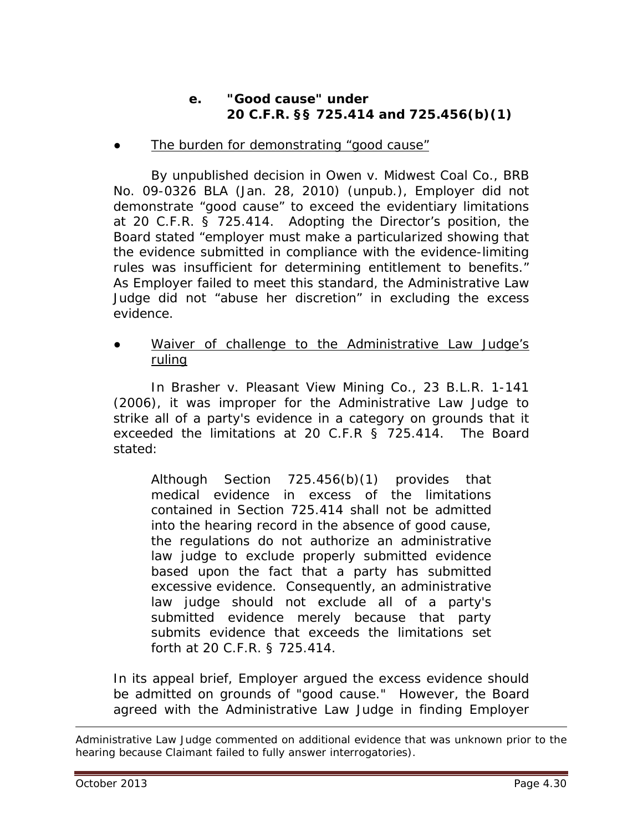## **e. "Good cause" under 20 C.F.R. §§ 725.414 and 725.456(b)(1)**

The burden for demonstrating "good cause"

By unpublished decision in *Owen v. Midwest Coal Co.*, BRB No. 09-0326 BLA (Jan. 28, 2010) (unpub.), Employer did not demonstrate "good cause" to exceed the evidentiary limitations at 20 C.F.R. § 725.414. Adopting the Director's position, the Board stated "employer must make a particularized showing that the evidence submitted in compliance with the evidence-limiting rules was insufficient for determining entitlement to benefits." As Employer failed to meet this standard, the Administrative Law Judge did not "abuse her discretion" in excluding the excess evidence.

Waiver of challenge to the Administrative Law Judge's ruling

In *Brasher v. Pleasant View Mining Co.*, 23 B.L.R. 1-141 (2006), it was improper for the Administrative Law Judge to strike all of a party's evidence in a category on grounds that it exceeded the limitations at 20 C.F.R § 725.414. The Board stated:

Although Section 725.456(b)(1) provides that medical evidence in excess of the limitations contained in Section 725.414 shall not be admitted into the hearing record in the absence of good cause, the regulations do not authorize an administrative law judge to exclude properly submitted evidence based upon the fact that a party has submitted excessive evidence. Consequently, an administrative law judge should not exclude all of a party's submitted evidence merely because that party submits evidence that exceeds the limitations set forth at 20 C.F.R. § 725.414.

In its appeal brief, Employer argued the excess evidence should be admitted on grounds of "good cause." However, the Board agreed with the Administrative Law Judge in finding Employer

 $\overline{a}$ 

Administrative Law Judge commented on additional evidence that was unknown prior to the hearing because Claimant failed to fully answer interrogatories).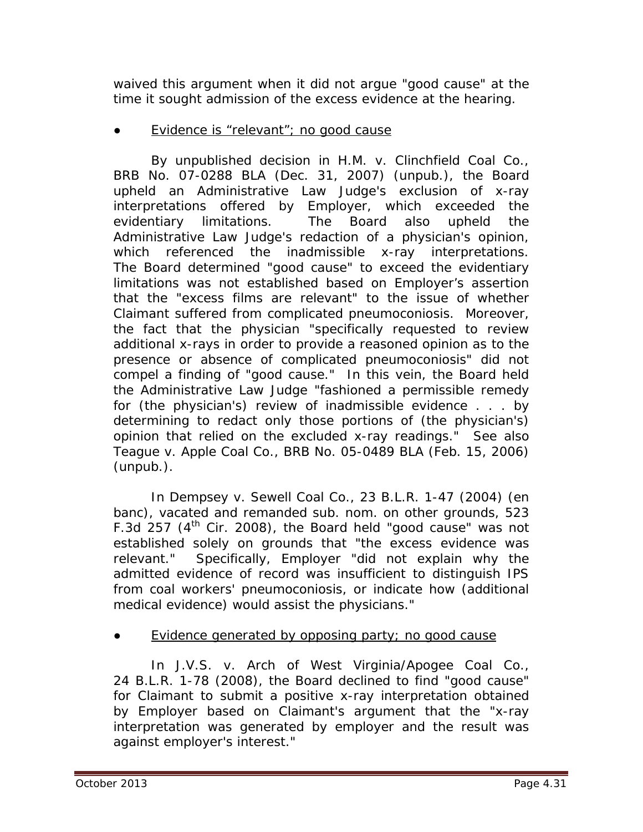waived this argument when it did not argue "good cause" at the time it sought admission of the excess evidence at the hearing.

# Evidence is "relevant"; no good cause

By unpublished decision in *H.M. v. Clinchfield Coal Co.*, BRB No. 07-0288 BLA (Dec. 31, 2007) (unpub.), the Board upheld an Administrative Law Judge's exclusion of x-ray interpretations offered by Employer, which exceeded the evidentiary limitations. The Board also upheld the Administrative Law Judge's redaction of a physician's opinion, which referenced the inadmissible x-ray interpretations. The Board determined "good cause" to exceed the evidentiary limitations was not established based on Employer's assertion that the "excess films are relevant" to the issue of whether Claimant suffered from complicated pneumoconiosis. Moreover, the fact that the physician "specifically requested to review additional x-rays in order to provide a reasoned opinion as to the presence or absence of complicated pneumoconiosis" did not compel a finding of "good cause." In this vein, the Board held the Administrative Law Judge "fashioned a permissible remedy for (the physician's) review of inadmissible evidence . . . by determining to redact only those portions of (the physician's) opinion that relied on the excluded x-ray readings." *See also Teague v. Apple Coal Co.*, BRB No. 05-0489 BLA (Feb. 15, 2006) (unpub.).

In *Dempsey v. Sewell Coal Co.*, 23 B.L.R. 1-47 (2004) (en banc), *vacated and remanded sub. nom. on other grounds,* 523 F.3d 257  $(4<sup>th</sup>$  Cir. 2008), the Board held "good cause" was not established solely on grounds that "the excess evidence was relevant." Specifically, Employer "did not explain why the admitted evidence of record was insufficient to distinguish IPS from coal workers' pneumoconiosis, or indicate how (additional medical evidence) would assist the physicians."

Evidence generated by opposing party; no good cause

In *J.V.S. v. Arch of West Virginia/Apogee Coal Co.*, 24 B.L.R. 1-78 (2008), the Board declined to find "good cause" for Claimant to submit a positive x-ray interpretation obtained by Employer based on Claimant's argument that the "x-ray interpretation was generated by employer and the result was against employer's interest."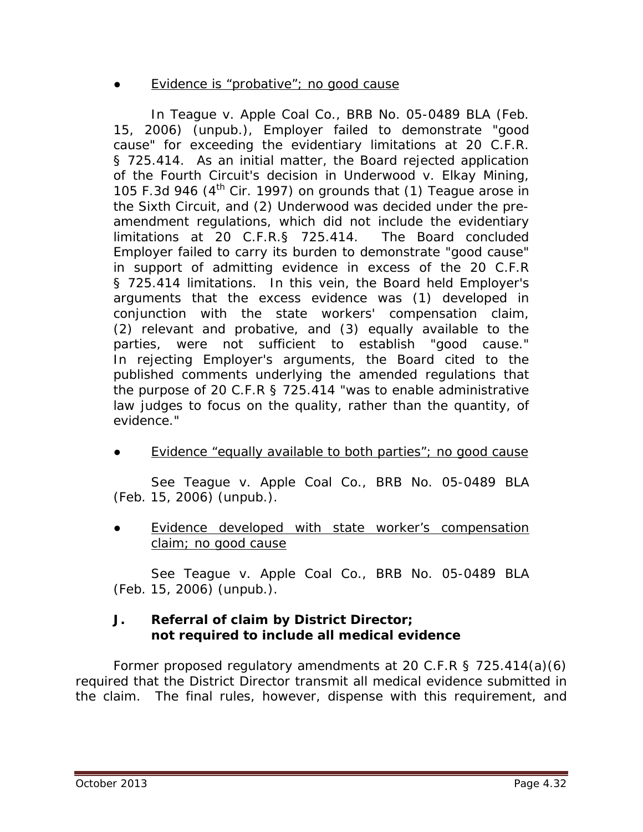#### Evidence is "probative"; no good cause

In *Teague v. Apple Coal Co.*, BRB No. 05-0489 BLA (Feb. 15, 2006) (unpub.), Employer failed to demonstrate "good cause" for exceeding the evidentiary limitations at 20 C.F.R. § 725.414. As an initial matter, the Board rejected application of the Fourth Circuit's decision in *Underwood v. Elkay Mining,* 105 F.3d 946 (4th Cir. 1997) on grounds that (1) *Teague* arose in the Sixth Circuit, and (2) *Underwood* was decided under the preamendment regulations, which did not include the evidentiary limitations at 20 C.F.R.§ 725.414. The Board concluded Employer failed to carry its burden to demonstrate "good cause" in support of admitting evidence in excess of the 20 C.F.R § 725.414 limitations. In this vein, the Board held Employer's arguments that the excess evidence was (1) developed in conjunction with the state workers' compensation claim, (2) relevant and probative, and (3) equally available to the parties, were not sufficient to establish "good cause." In rejecting Employer's arguments, the Board cited to the published comments underlying the amended regulations that the purpose of 20 C.F.R § 725.414 "was to enable administrative law judges to focus on the quality, rather than the quantity, of evidence."

Evidence "equally available to both parties"; no good cause

*See Teague v. Apple Coal Co.*, BRB No. 05-0489 BLA (Feb. 15, 2006) (unpub.).

Evidence developed with state worker's compensation claim; no good cause

*See Teague v. Apple Coal Co.*, BRB No. 05-0489 BLA (Feb. 15, 2006) (unpub.).

#### **J. Referral of claim by District Director; not required to include all medical evidence**

Former proposed regulatory amendments at 20 C.F.R § 725.414(a)(6) required that the District Director transmit all medical evidence submitted in the claim. The final rules, however, dispense with this requirement, and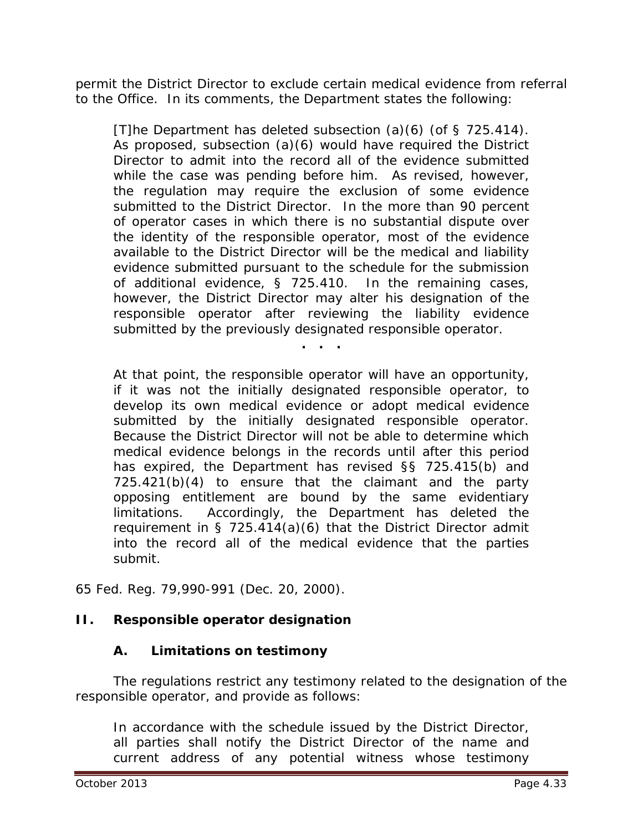permit the District Director to exclude certain medical evidence from referral to the Office. In its comments, the Department states the following:

[T]he Department has deleted subsection (a)(6) (of § 725.414). As proposed, subsection (a)(6) would have required the District Director to admit into the record all of the evidence submitted while the case was pending before him. As revised, however, the regulation may require the exclusion of some evidence submitted to the District Director. In the more than 90 percent of operator cases in which there is no substantial dispute over the identity of the responsible operator, most of the evidence available to the District Director will be the medical and liability evidence submitted pursuant to the schedule for the submission of additional evidence, § 725.410. In the remaining cases, however, the District Director may alter his designation of the responsible operator after reviewing the liability evidence submitted by the previously designated responsible operator.

At that point, the responsible operator will have an opportunity, if it was not the initially designated responsible operator, to develop its own medical evidence or adopt medical evidence submitted by the initially designated responsible operator. Because the District Director will not be able to determine which medical evidence belongs in the records until after this period has expired, the Department has revised §§ 725.415(b) and 725.421(b)(4) to ensure that the claimant and the party opposing entitlement are bound by the same evidentiary limitations. Accordingly, the Department has deleted the requirement in § 725.414(a)(6) that the District Director admit into the record all of the medical evidence that the parties submit.

**. . .**

65 Fed. Reg. 79,990-991 (Dec. 20, 2000).

# **II. Responsible operator designation**

# **A. Limitations on testimony**

The regulations restrict any testimony related to the designation of the responsible operator, and provide as follows:

In accordance with the schedule issued by the District Director, all parties shall notify the District Director of the name and current address of any potential witness whose testimony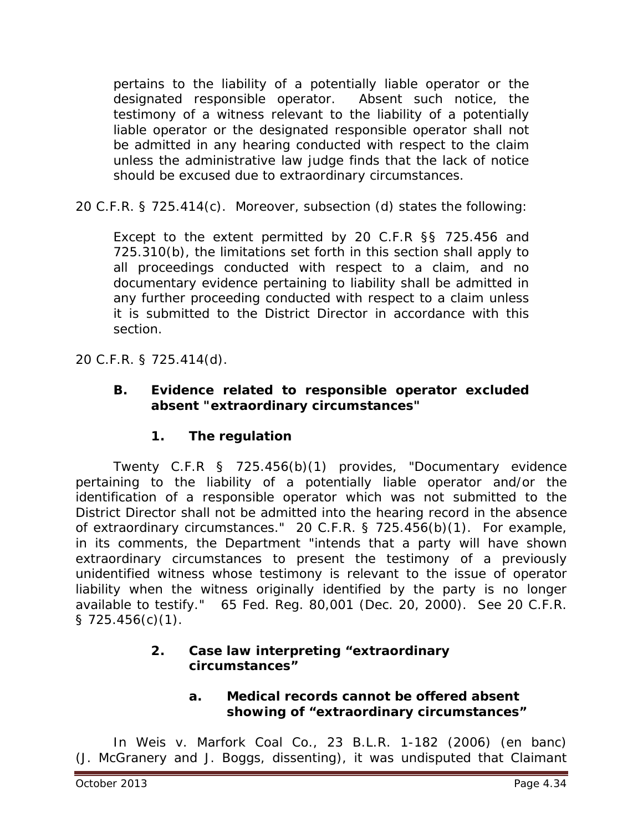pertains to the liability of a potentially liable operator or the designated responsible operator. Absent such notice, the testimony of a witness relevant to the liability of a potentially liable operator or the designated responsible operator shall not be admitted in any hearing conducted with respect to the claim unless the administrative law judge finds that the lack of notice should be excused due to extraordinary circumstances.

20 C.F.R. § 725.414(c). Moreover, subsection (d) states the following:

Except to the extent permitted by 20 C.F.R §§ 725.456 and 725.310(b), the limitations set forth in this section shall apply to all proceedings conducted with respect to a claim, and no documentary evidence pertaining to liability shall be admitted in any further proceeding conducted with respect to a claim unless it is submitted to the District Director in accordance with this section.

20 C.F.R. § 725.414(d).

## **B. Evidence related to responsible operator excluded absent "extraordinary circumstances"**

# **1. The regulation**

Twenty C.F.R § 725.456(b)(1) provides, "Documentary evidence pertaining to the liability of a potentially liable operator and/or the identification of a responsible operator which was not submitted to the District Director shall not be admitted into the hearing record in the absence of extraordinary circumstances." 20 C.F.R. § 725.456(b)(1). For example, in its comments, the Department "intends that a party will have shown extraordinary circumstances to present the testimony of a previously unidentified witness whose testimony is relevant to the issue of operator liability when the witness originally identified by the party is no longer available to testify." 65 Fed. Reg. 80,001 (Dec. 20, 2000). *See* 20 C.F.R. § 725.456(c)(1).

## **2. Case law interpreting "extraordinary circumstances"**

## **a. Medical records cannot be offered absent showing of "extraordinary circumstances"**

In *Weis v. Marfork Coal Co.*, 23 B.L.R. 1-182 (2006) (en banc) (J. McGranery and J. Boggs, dissenting), it was undisputed that Claimant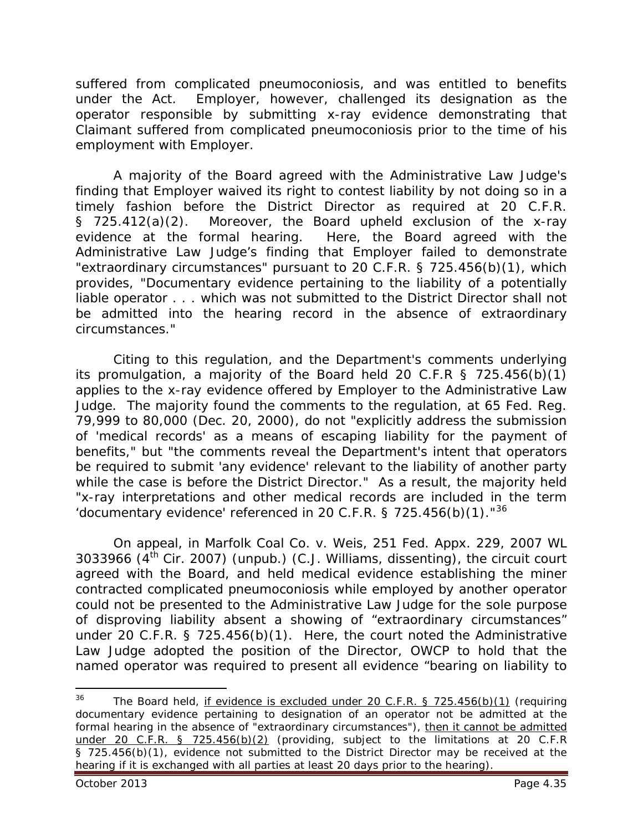suffered from complicated pneumoconiosis, and was entitled to benefits under the Act. Employer, however, challenged its designation as the operator responsible by submitting x-ray evidence demonstrating that Claimant suffered from complicated pneumoconiosis prior to the time of his employment with Employer.

A majority of the Board agreed with the Administrative Law Judge's finding that Employer waived its right to contest liability by not doing so in a timely fashion before the District Director as required at 20 C.F.R. § 725.412(a)(2). Moreover, the Board upheld exclusion of the x-ray evidence at the formal hearing. Here, the Board agreed with the Administrative Law Judge's finding that Employer failed to demonstrate "extraordinary circumstances" pursuant to 20 C.F.R. § 725.456(b)(1), which provides, "Documentary evidence pertaining to the liability of a potentially liable operator . . . which was not submitted to the District Director shall not be admitted into the hearing record in the absence of extraordinary circumstances."

Citing to this regulation, and the Department's comments underlying its promulgation, a majority of the Board held 20 C.F.R § 725.456(b)(1) applies to the x-ray evidence offered by Employer to the Administrative Law Judge. The majority found the comments to the regulation, at 65 Fed. Reg. 79,999 to 80,000 (Dec. 20, 2000), do not "explicitly address the submission of 'medical records' as a means of escaping liability for the payment of benefits," but "the comments reveal the Department's intent that operators be required to submit 'any evidence' relevant to the liability of another party while the case is before the District Director." As a result, the majority held "x-ray interpretations and other medical records are included in the term 'documentary evidence' referenced in 20 C.F.R. § 725.456(b)(1)." $36$ 

On appeal, in *Marfolk Coal Co. v. Weis,* 251 Fed. Appx. 229, 2007 WL 3033966 ( $4<sup>th</sup>$  Cir. 2007) (unpub.) (C.J. Williams, dissenting), the circuit court agreed with the Board, and held medical evidence establishing the miner contracted complicated pneumoconiosis while employed by another operator could not be presented to the Administrative Law Judge for the sole purpose of disproving liability absent a showing of "extraordinary circumstances" under 20 C.F.R. § 725.456(b)(1). Here, the court noted the Administrative Law Judge adopted the position of the Director, OWCP to hold that the named operator was required to present all evidence "bearing on liability to

<span id="page-34-0"></span>The Board held, if evidence is excluded under 20 C.F.R.  $\S$  725.456(b)(1) (requiring documentary evidence pertaining to designation of an operator not be admitted at the formal hearing in the absence of "extraordinary circumstances"), then it cannot be admitted under 20 C.F.R. § 725.456(b)(2) (providing, subject to the limitations at 20 C.F.R § 725.456(b)(1), evidence not submitted to the District Director may be received at the hearing if it is exchanged with all parties at least 20 days prior to the hearing). 36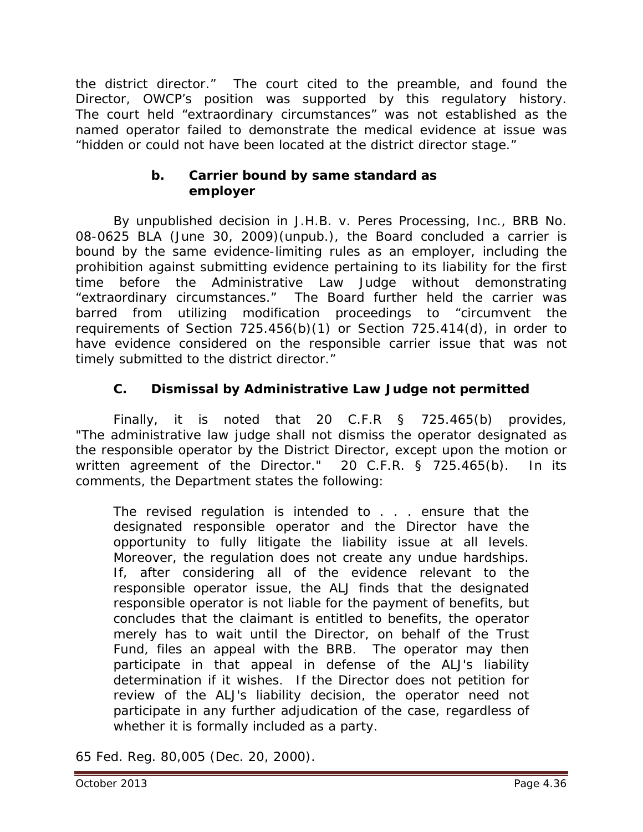the district director." The court cited to the preamble, and found the Director, OWCP's position was supported by this regulatory history. The court held "extraordinary circumstances" was not established as the named operator failed to demonstrate the medical evidence at issue was "hidden or could not have been located at the district director stage."

# **b. Carrier bound by same standard as employer**

 By unpublished decision in *J.H.B. v. Peres Processing, Inc.*, BRB No. 08-0625 BLA (June 30, 2009)(unpub.), the Board concluded a carrier is bound by the same evidence-limiting rules as an employer, including the prohibition against submitting evidence pertaining to its liability for the first time before the Administrative Law Judge without demonstrating "extraordinary circumstances." The Board further held the carrier was barred from utilizing modification proceedings to "circumvent the requirements of Section 725.456(b)(1) or Section 725.414(d), in order to have evidence considered on the responsible carrier issue that was not timely submitted to the district director."

# **C. Dismissal by Administrative Law Judge not permitted**

Finally, it is noted that 20 C.F.R § 725.465(b) provides, "The administrative law judge shall not dismiss the operator designated as the responsible operator by the District Director, except upon the motion or written agreement of the Director." 20 C.F.R. § 725.465(b). In its comments, the Department states the following:

The revised regulation is intended to . . . ensure that the designated responsible operator and the Director have the opportunity to fully litigate the liability issue at all levels. Moreover, the regulation does not create any undue hardships. If, after considering all of the evidence relevant to the responsible operator issue, the ALJ finds that the designated responsible operator is not liable for the payment of benefits, but concludes that the claimant is entitled to benefits, the operator merely has to wait until the Director, on behalf of the Trust Fund, files an appeal with the BRB. The operator may then participate in that appeal in defense of the ALJ's liability determination if it wishes. If the Director does not petition for review of the ALJ's liability decision, the operator need not participate in any further adjudication of the case, regardless of whether it is formally included as a party.

65 Fed. Reg. 80,005 (Dec. 20, 2000).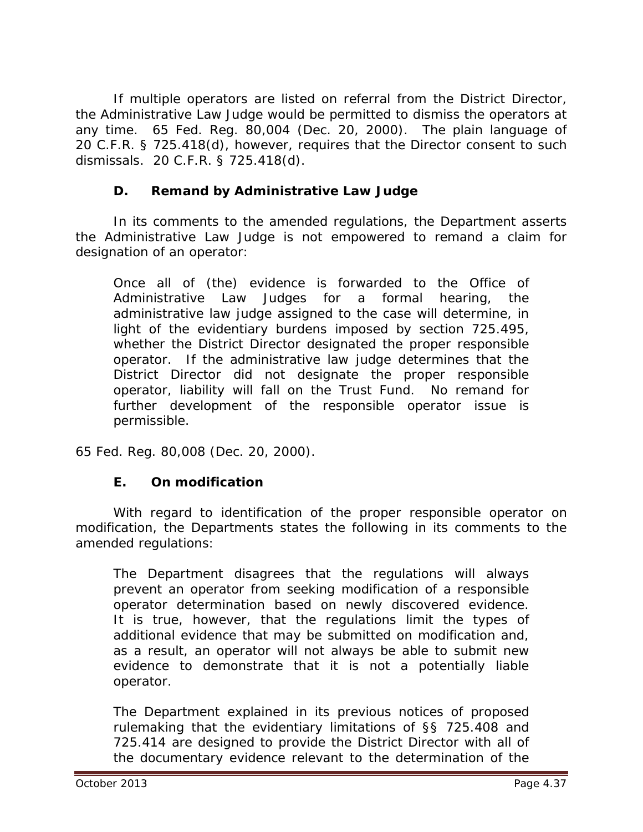If multiple operators are listed on referral from the District Director, the Administrative Law Judge would be permitted to dismiss the operators at any time. 65 Fed. Reg. 80,004 (Dec. 20, 2000). The plain language of 20 C.F.R. § 725.418(d), however, requires that the Director consent to such dismissals. 20 C.F.R. § 725.418(d).

# **D. Remand by Administrative Law Judge**

In its comments to the amended regulations, the Department asserts the Administrative Law Judge is not empowered to remand a claim for designation of an operator:

Once all of (the) evidence is forwarded to the Office of Administrative Law Judges for a formal hearing, the administrative law judge assigned to the case will determine, in light of the evidentiary burdens imposed by section 725.495, whether the District Director designated the proper responsible operator. If the administrative law judge determines that the District Director did not designate the proper responsible operator, liability will fall on the Trust Fund. No remand for further development of the responsible operator issue is permissible.

65 Fed. Reg. 80,008 (Dec. 20, 2000).

# **E. On modification**

With regard to identification of the proper responsible operator on modification, the Departments states the following in its comments to the amended regulations:

The Department disagrees that the regulations will always prevent an operator from seeking modification of a responsible operator determination based on newly discovered evidence. It is true, however, that the regulations limit the types of additional evidence that may be submitted on modification and, as a result, an operator will not always be able to submit new evidence to demonstrate that it is not a potentially liable operator.

The Department explained in its previous notices of proposed rulemaking that the evidentiary limitations of §§ 725.408 and 725.414 are designed to provide the District Director with all of the documentary evidence relevant to the determination of the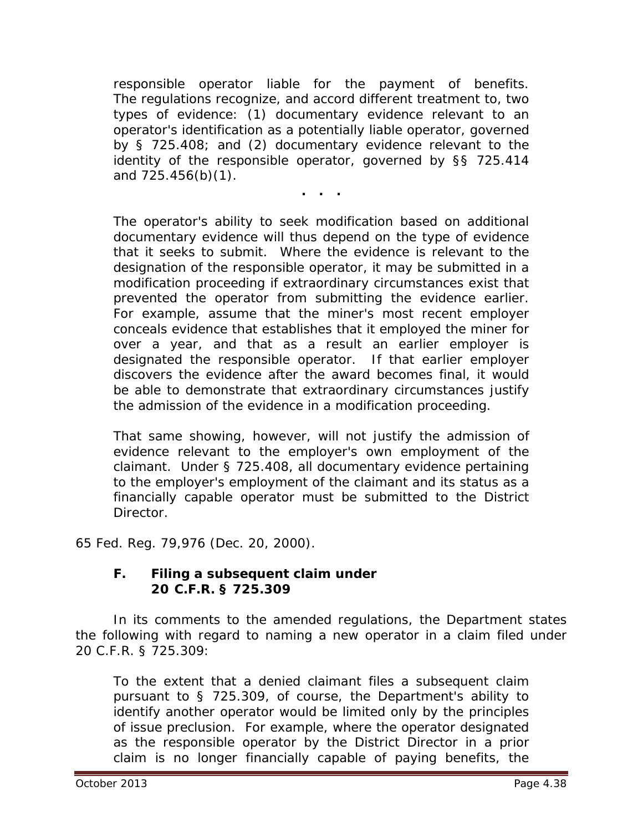responsible operator liable for the payment of benefits. The regulations recognize, and accord different treatment to, two types of evidence: (1) documentary evidence relevant to an operator's identification as a potentially liable operator, governed by § 725.408; and (2) documentary evidence relevant to the identity of the responsible operator, governed by §§ 725.414 and 725.456(b)(1).

**. . .**

The operator's ability to seek modification based on additional documentary evidence will thus depend on the type of evidence that it seeks to submit. Where the evidence is relevant to the designation of the responsible operator, it may be submitted in a modification proceeding if extraordinary circumstances exist that prevented the operator from submitting the evidence earlier. For example, assume that the miner's most recent employer conceals evidence that establishes that it employed the miner for over a year, and that as a result an earlier employer is designated the responsible operator. If that earlier employer discovers the evidence after the award becomes final, it would be able to demonstrate that extraordinary circumstances justify the admission of the evidence in a modification proceeding.

That same showing, however, will not justify the admission of evidence relevant to the employer's own employment of the claimant. Under § 725.408, all documentary evidence pertaining to the employer's employment of the claimant and its status as a financially capable operator must be submitted to the District Director.

65 Fed. Reg. 79,976 (Dec. 20, 2000).

#### **F. Filing a subsequent claim under 20 C.F.R. § 725.309**

In its comments to the amended regulations, the Department states the following with regard to naming a new operator in a claim filed under 20 C.F.R. § 725.309:

To the extent that a denied claimant files a subsequent claim pursuant to § 725.309, of course, the Department's ability to identify another operator would be limited only by the principles of issue preclusion. For example, where the operator designated as the responsible operator by the District Director in a prior claim is no longer financially capable of paying benefits, the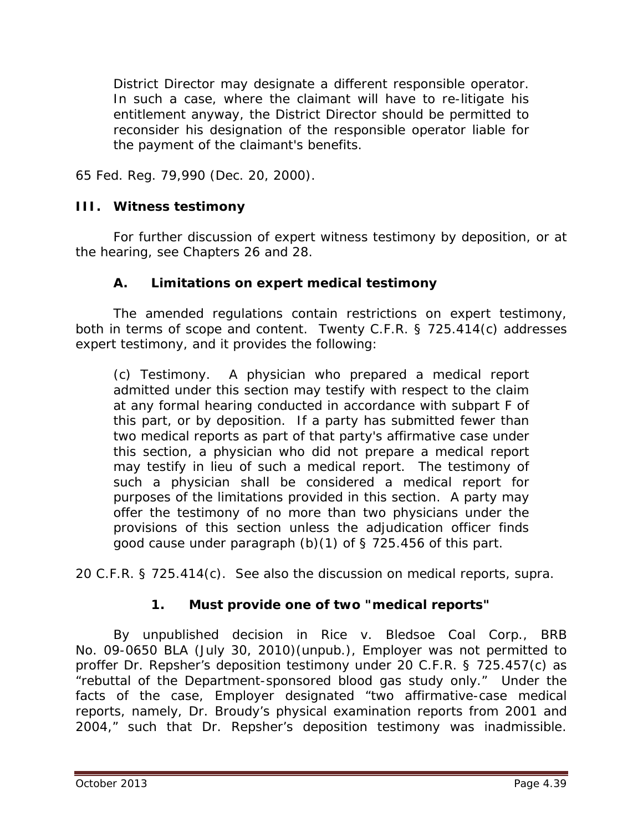District Director may designate a different responsible operator. In such a case, where the claimant will have to re-litigate his entitlement anyway, the District Director should be permitted to reconsider his designation of the responsible operator liable for the payment of the claimant's benefits.

65 Fed. Reg. 79,990 (Dec. 20, 2000).

## **III. Witness testimony**

For further discussion of expert witness testimony by deposition, or at the hearing, *see* Chapters 26 and 28.

## **A. Limitations on expert medical testimony**

The amended regulations contain restrictions on expert testimony, both in terms of scope and content. Twenty C.F.R. § 725.414(c) addresses expert testimony, and it provides the following:

(c) Testimony. A physician who prepared a medical report admitted under this section may testify with respect to the claim at any formal hearing conducted in accordance with subpart F of this part, or by deposition. If a party has submitted fewer than two medical reports as part of that party's affirmative case under this section, a physician who did not prepare a medical report may testify in lieu of such a medical report. The testimony of such a physician shall be considered a medical report for purposes of the limitations provided in this section. A party may offer the testimony of no more than two physicians under the provisions of this section unless the adjudication officer finds good cause under paragraph (b)(1) of § 725.456 of this part.

20 C.F.R. § 725.414(c). *See* also the discussion on medical reports, *supra*.

## **1. Must provide one of two "medical reports"**

 By unpublished decision in *Rice v. Bledsoe Coal Corp.*, BRB No. 09-0650 BLA (July 30, 2010)(unpub.), Employer was not permitted to proffer Dr. Repsher's deposition testimony under 20 C.F.R. § 725.457(c) as "rebuttal of the Department-sponsored blood gas study only." Under the facts of the case, Employer designated "two affirmative-case medical reports, namely, Dr. Broudy's physical examination reports from 2001 and 2004," such that Dr. Repsher's deposition testimony was inadmissible.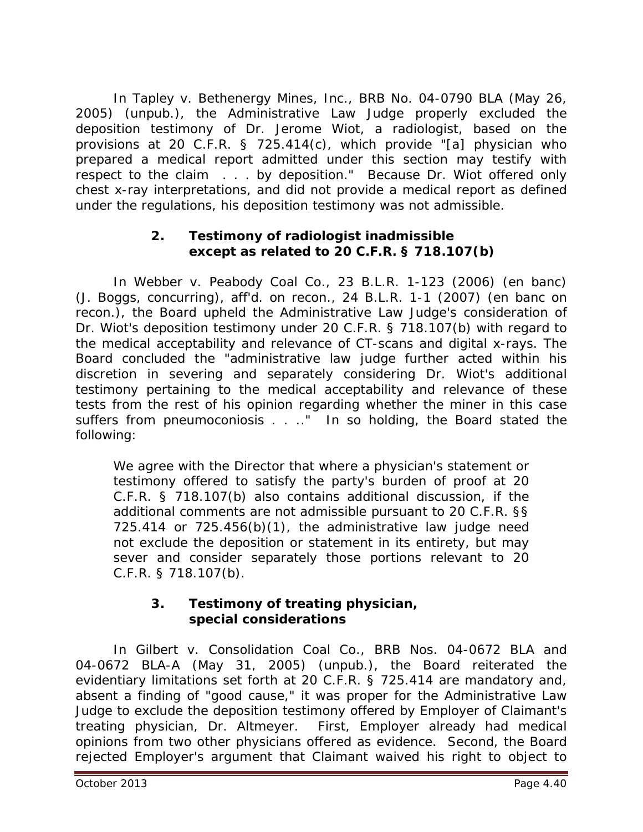In *Tapley v. Bethenergy Mines, Inc.*, BRB No. 04-0790 BLA (May 26, 2005) (unpub.), the Administrative Law Judge properly excluded the deposition testimony of Dr. Jerome Wiot, a radiologist, based on the provisions at 20 C.F.R. § 725.414(c), which provide "[a] physician who prepared a medical report admitted under this section may testify with respect to the claim . . . by deposition." Because Dr. Wiot offered only chest x-ray interpretations, and did not provide a medical report as defined under the regulations, his deposition testimony was not admissible.

## **2. Testimony of radiologist inadmissible except as related to 20 C.F.R. § 718.107(b)**

In *Webber v. Peabody Coal Co.*, 23 B.L.R. 1-123 (2006) (*en banc*) (J. Boggs, concurring), *aff'd. on recon.*, 24 B.L.R. 1-1 (2007) (*en banc on recon.*), the Board upheld the Administrative Law Judge's consideration of Dr. Wiot's deposition testimony under 20 C.F.R. § 718.107(b) with regard to the medical acceptability and relevance of CT-scans and digital x-rays. The Board concluded the "administrative law judge further acted within his discretion in severing and separately considering Dr. Wiot's additional testimony pertaining to the medical acceptability and relevance of these tests from the rest of his opinion regarding whether the miner in this case suffers from pneumoconiosis . . . " In so holding, the Board stated the following:

We agree with the Director that where a physician's statement or testimony offered to satisfy the party's burden of proof at 20 C.F.R. § 718.107(b) also contains additional discussion, if the additional comments are not admissible pursuant to 20 C.F.R. §§ 725.414 or 725.456(b)(1), the administrative law judge need not exclude the deposition or statement in its entirety, but may sever and consider separately those portions relevant to 20 C.F.R. § 718.107(b).

# **3. Testimony of treating physician, special considerations**

In *Gilbert v. Consolidation Coal Co.*, BRB Nos. 04-0672 BLA and 04-0672 BLA-A (May 31, 2005) (unpub.), the Board reiterated the evidentiary limitations set forth at 20 C.F.R. § 725.414 are mandatory and, absent a finding of "good cause," it was proper for the Administrative Law Judge to exclude the deposition testimony offered by Employer of Claimant's treating physician, Dr. Altmeyer. First, Employer already had medical opinions from two other physicians offered as evidence. Second, the Board rejected Employer's argument that Claimant waived his right to object to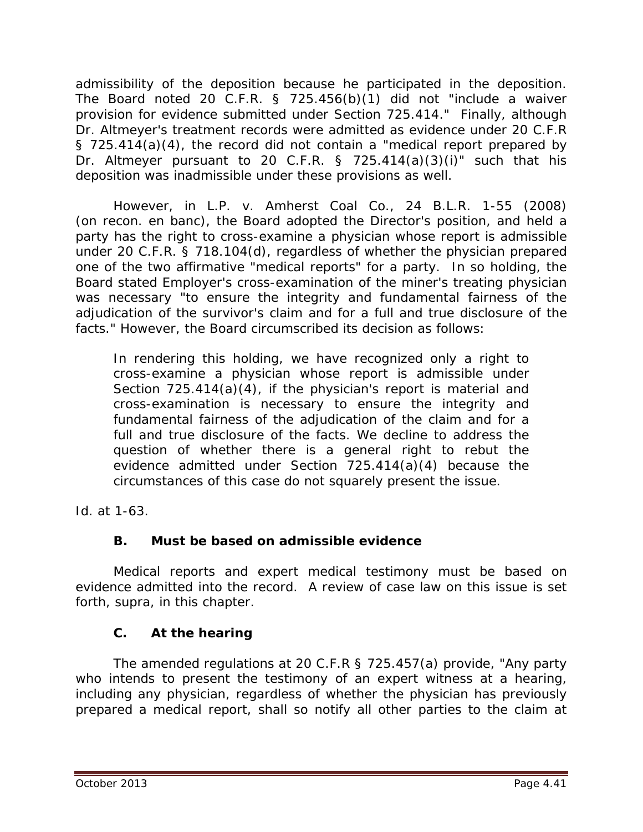admissibility of the deposition because he participated in the deposition. The Board noted 20 C.F.R. § 725.456(b)(1) did not "include a waiver provision for evidence submitted under Section 725.414." Finally, although Dr. Altmeyer's treatment records were admitted as evidence under 20 C.F.R § 725.414(a)(4), the record did not contain a "medical report prepared by Dr. Altmeyer pursuant to 20 C.F.R. § 725.414(a)(3)(i)" such that his deposition was inadmissible under these provisions as well.

 However, in *L.P. v. Amherst Coal Co.*, 24 B.L.R. 1-55 (2008) (on recon. en banc), the Board adopted the Director's position, and held a party has the right to cross-examine a physician whose report is admissible under 20 C.F.R. § 718.104(d), regardless of whether the physician prepared one of the two affirmative "medical reports" for a party. In so holding, the Board stated Employer's cross-examination of the miner's treating physician was necessary "to ensure the integrity and fundamental fairness of the adjudication of the survivor's claim *and* for a full and true disclosure of the facts." However, the Board circumscribed its decision as follows:

In rendering this holding, we have recognized only a right to cross-examine a physician whose report is admissible under Section  $725.414(a)(4)$ , if the physician's report is material and cross-examination is necessary to ensure the integrity and fundamental fairness of the adjudication of the claim and for a full and true disclosure of the facts. We decline to address the question of whether there is a general right to rebut the evidence admitted under Section 725.414(a)(4) because the circumstances of this case do not squarely present the issue.

*Id.* at 1-63.

## **B. Must be based on admissible evidence**

Medical reports and expert medical testimony must be based on evidence admitted into the record. A review of case law on this issue is set forth, *supra,* in this chapter.

# **C. At the hearing**

The amended regulations at 20 C.F.R § 725.457(a) provide, "Any party who intends to present the testimony of an expert witness at a hearing, *including any physician, regardless of whether the physician has previously prepared a medical report*, shall so notify all other parties to the claim at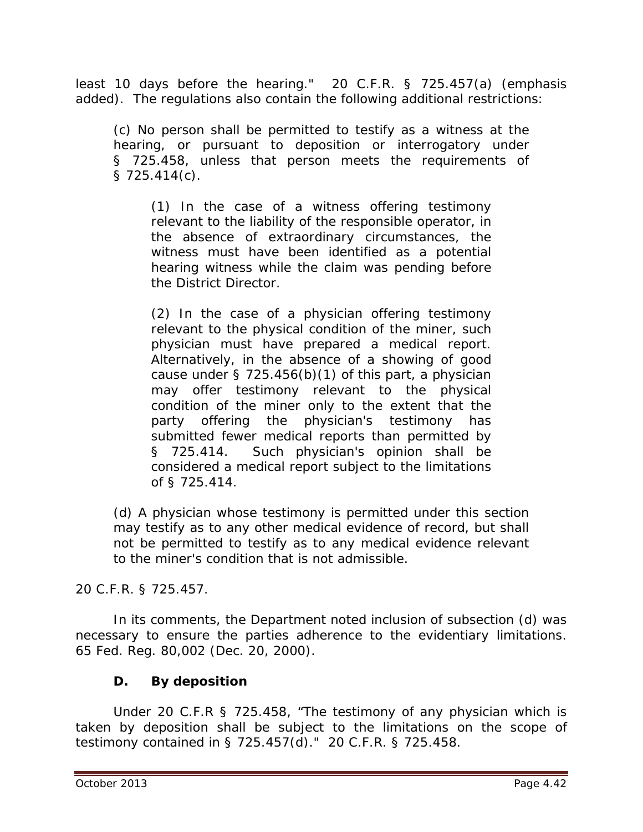least 10 days before the hearing." 20 C.F.R. § 725.457(a) (emphasis added). The regulations also contain the following additional restrictions:

(c) No person shall be permitted to testify as a witness at the hearing, or pursuant to deposition or interrogatory under § 725.458, unless that person meets the requirements of § 725.414(c).

(1) In the case of a witness offering testimony relevant to the liability of the responsible operator, in the absence of extraordinary circumstances, the witness must have been identified as a potential hearing witness while the claim was pending before the District Director.

(2) In the case of a physician offering testimony relevant to the physical condition of the miner, such physician must have prepared a medical report. Alternatively, in the absence of a showing of good cause under  $\S$  725.456(b)(1) of this part, a physician may offer testimony relevant to the physical condition of the miner only to the extent that the party offering the physician's testimony has submitted fewer medical reports than permitted by § 725.414. Such physician's opinion shall be considered a medical report subject to the limitations of § 725.414.

(d) A physician whose testimony is permitted under this section may testify as to any other medical evidence of record, but shall not be permitted to testify as to any medical evidence relevant to the miner's condition that is not admissible.

20 C.F.R. § 725.457.

In its comments, the Department noted inclusion of subsection (d) was necessary to ensure the parties adherence to the evidentiary limitations. 65 Fed. Reg. 80,002 (Dec. 20, 2000).

## **D. By deposition**

Under 20 C.F.R § 725.458, "The testimony of any physician which is taken by deposition shall be subject to the limitations on the scope of testimony contained in § 725.457(d)." 20 C.F.R. § 725.458.